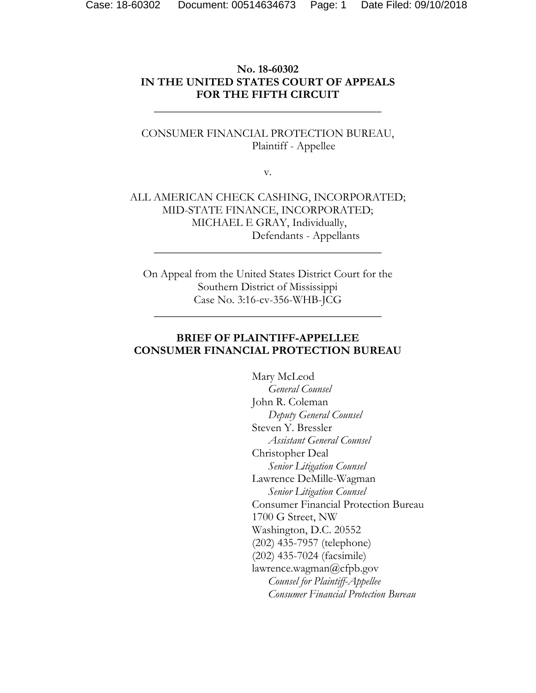## **No. 18-60302 IN THE UNITED STATES COURT OF APPEALS FOR THE FIFTH CIRCUIT**

\_\_\_\_\_\_\_\_\_\_\_\_\_\_\_\_\_\_\_\_\_\_\_\_\_\_\_\_\_\_\_\_\_\_\_\_\_\_\_\_

### CONSUMER FINANCIAL PROTECTION BUREAU, Plaintiff - Appellee

v.

ALL AMERICAN CHECK CASHING, INCORPORATED; MID-STATE FINANCE, INCORPORATED; MICHAEL E GRAY, Individually, Defendants - Appellants

\_\_\_\_\_\_\_\_\_\_\_\_\_\_\_\_\_\_\_\_\_\_\_\_\_\_\_\_\_\_\_\_\_\_\_\_\_\_\_\_

On Appeal from the United States District Court for the Southern District of Mississippi Case No. 3:16-cv-356-WHB-JCG

\_\_\_\_\_\_\_\_\_\_\_\_\_\_\_\_\_\_\_\_\_\_\_\_\_\_\_\_\_\_\_\_\_\_\_\_\_\_\_\_

## **BRIEF OF PLAINTIFF-APPELLEE CONSUMER FINANCIAL PROTECTION BUREAU**

Mary McLeod  *General Counsel*  John R. Coleman  *Deputy General Counsel*  Steven Y. Bressler  *Assistant General Counsel*  Christopher Deal  *Senior Litigation Counsel* Lawrence DeMille-Wagman *Senior Litigation Counsel*  Consumer Financial Protection Bureau 1700 G Street, NW Washington, D.C. 20552 (202) 435-7957 (telephone) (202) 435-7024 (facsimile) lawrence.wagman@cfpb.gov *Counsel for Plaintiff-Appellee Consumer Financial Protection Bureau*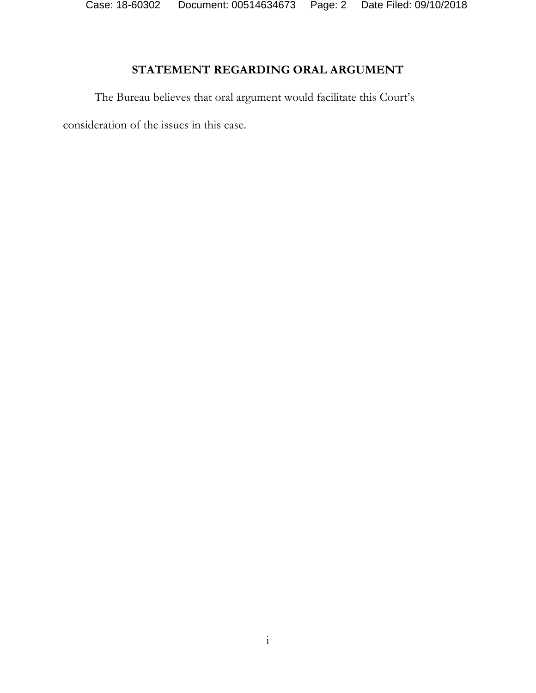Case: 18-60302 Document: 00514634673 Page: 2 Date Filed: 09/10/2018

# **STATEMENT REGARDING ORAL ARGUMENT**

The Bureau believes that oral argument would facilitate this Court's

consideration of the issues in this case.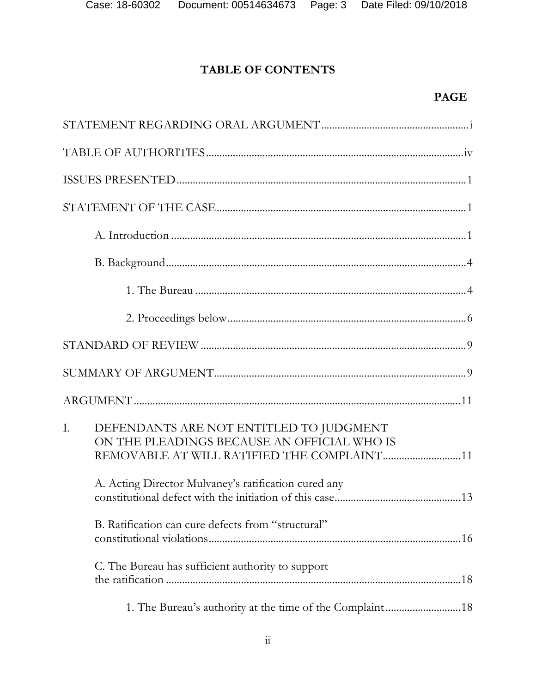# **TABLE OF CONTENTS**

# **PAGE**

| T. | DEFENDANTS ARE NOT ENTITLED TO JUDGMENT<br>ON THE PLEADINGS BECAUSE AN OFFICIAL WHO IS<br>A. Acting Director Mulvaney's ratification cured any<br>B. Ratification can cure defects from "structural"<br>C. The Bureau has sufficient authority to support |
|----|-----------------------------------------------------------------------------------------------------------------------------------------------------------------------------------------------------------------------------------------------------------|
|    |                                                                                                                                                                                                                                                           |
|    |                                                                                                                                                                                                                                                           |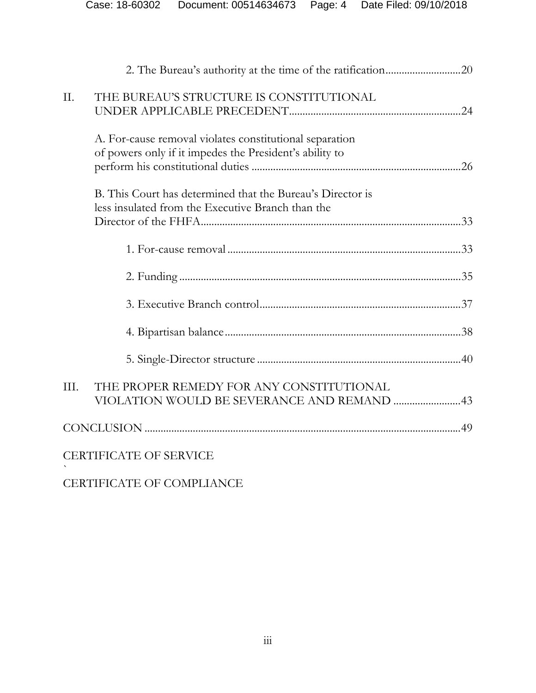| II.  | THE BUREAU'S STRUCTURE IS CONSTITUTIONAL                                                                           |  |
|------|--------------------------------------------------------------------------------------------------------------------|--|
|      | A. For-cause removal violates constitutional separation<br>of powers only if it impedes the President's ability to |  |
|      | B. This Court has determined that the Bureau's Director is<br>less insulated from the Executive Branch than the    |  |
|      |                                                                                                                    |  |
|      |                                                                                                                    |  |
|      |                                                                                                                    |  |
|      |                                                                                                                    |  |
|      |                                                                                                                    |  |
| III. | THE PROPER REMEDY FOR ANY CONSTITUTIONAL<br>VIOLATION WOULD BE SEVERANCE AND REMAND 43                             |  |
|      |                                                                                                                    |  |
|      | <b>CERTIFICATE OF SERVICE</b>                                                                                      |  |

CERTIFICATE OF COMPLIANCE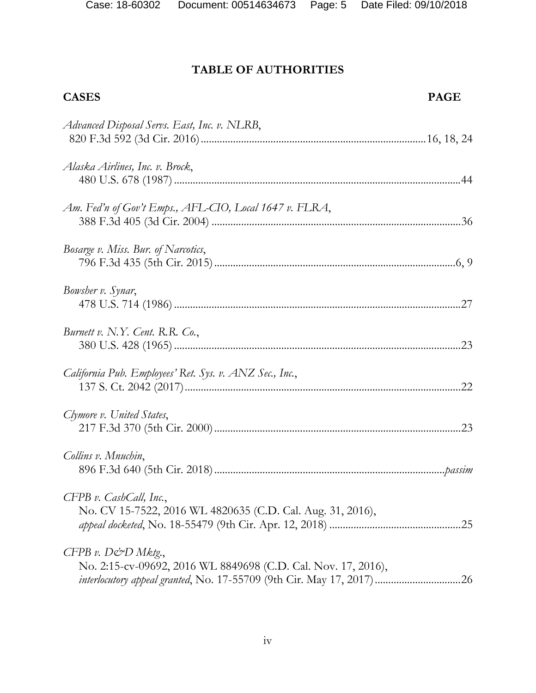# **TABLE OF AUTHORITIES**

| <b>CASES</b> | <b>PAGE</b> |
|--------------|-------------|
|              |             |

| Advanced Disposal Servs. East, Inc. v. NLRB,                                          |
|---------------------------------------------------------------------------------------|
| Alaska Airlines, Inc. v. Brock,                                                       |
| Am. Fed'n of Gov't Emps., AFL-CIO, Local 1647 v. FLRA,                                |
| Bosarge v. Miss. Bur. of Narcotics,                                                   |
| Bowsher v. Synar,                                                                     |
| Burnett v. N.Y. Cent. R.R. Co.,                                                       |
| California Pub. Employees' Ret. Sys. v. ANZ Sec., Inc.,                               |
| Clymore v. United States,                                                             |
| Collins v. Mnuchin,                                                                   |
| CFPB v. CashCall, Inc.,<br>No. CV 15-7522, 2016 WL 4820635 (C.D. Cal. Aug. 31, 2016), |
| CFPB v. D&D Mktg.,<br>No. 2:15-cv-09692, 2016 WL 8849698 (C.D. Cal. Nov. 17, 2016),   |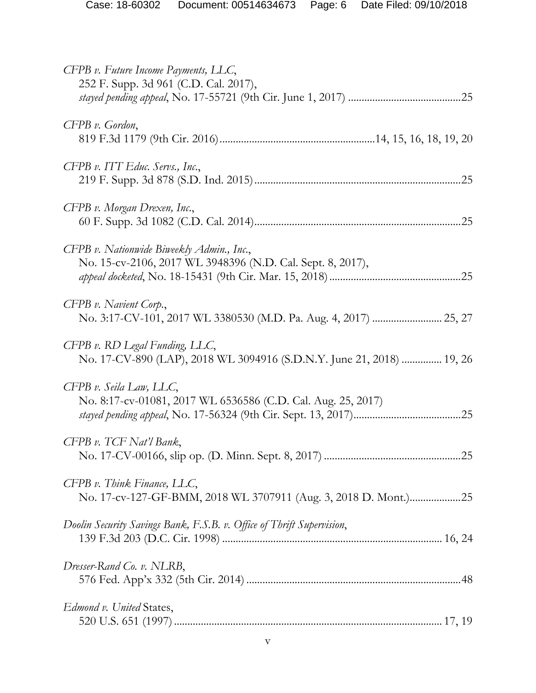| CFPB v. Future Income Payments, LLC,<br>252 F. Supp. 3d 961 (C.D. Cal. 2017),                           |
|---------------------------------------------------------------------------------------------------------|
| $CFPB$ v. Gordon,                                                                                       |
| CFPB v. ITT Educ. Servs., Inc.,                                                                         |
| CFPB v. Morgan Drexen, Inc.,                                                                            |
| CFPB v. Nationwide Biweekly Admin., Inc.,<br>No. 15-cv-2106, 2017 WL 3948396 (N.D. Cal. Sept. 8, 2017), |
| CFPB v. Navient Corp.,                                                                                  |
| CFPB v. RD Legal Funding, LLC,<br>No. 17-CV-890 (LAP), 2018 WL 3094916 (S.D.N.Y. June 21, 2018)  19, 26 |
| CFPB v. Seila Law, LLC,<br>No. 8:17-cv-01081, 2017 WL 6536586 (C.D. Cal. Aug. 25, 2017)                 |
| CFPB v. TCF Nat'l Bank,                                                                                 |
| CFPB v. Think Finance, LLC,<br>No. 17-cv-127-GF-BMM, 2018 WL 3707911 (Aug. 3, 2018 D. Mont.)25          |
| Doolin Security Savings Bank, F.S.B. v. Office of Thrift Supervision,                                   |
| Dresser-Rand Co. v. NLRB,                                                                               |
| Edmond v. United States,                                                                                |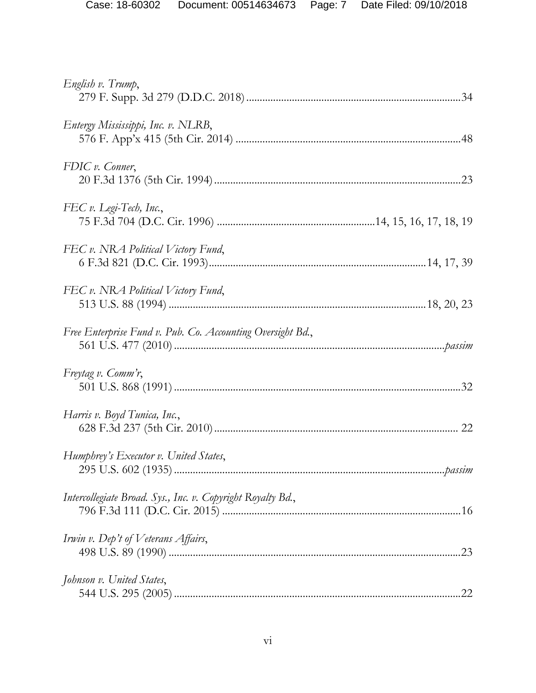| English v. Trump,                                           |
|-------------------------------------------------------------|
| Entergy Mississippi, Inc. v. NLRB,                          |
| FDIC v. Conner,                                             |
| FEC v. Legi-Tech, Inc.,                                     |
| FEC v. NRA Political Victory Fund,                          |
| FEC v. NRA Political Victory Fund,                          |
| Free Enterprise Fund v. Pub. Co. Accounting Oversight Bd.,  |
| Freytag v. Comm'r,                                          |
| Harris v. Boyd Tunica, Inc.,                                |
| Humphrey's Executor v. United States,                       |
| Intercollegiate Broad. Sys., Inc. v. Copyright Royalty Bd., |
| Irwin v. Dep't of Veterans Affairs,                         |
| Johnson v. United States,                                   |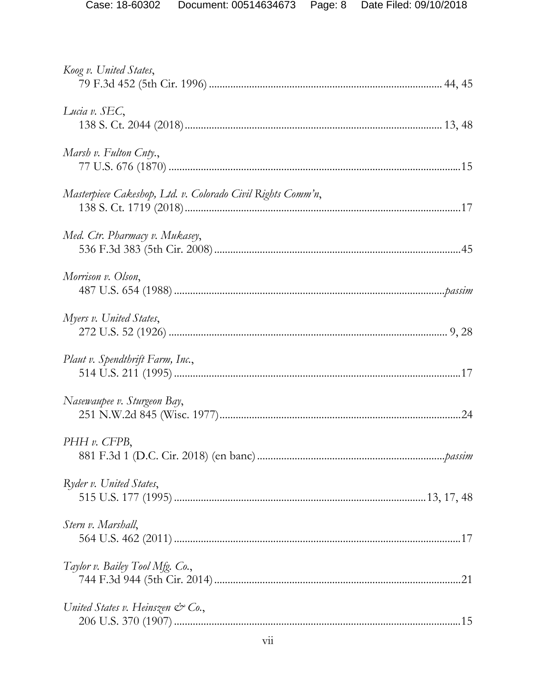| Koog v. United States,                                      |  |
|-------------------------------------------------------------|--|
| Lucia v. SEC,                                               |  |
| Marsh v. Fulton Cnty.,                                      |  |
| Masterpiece Cakeshop, Ltd. v. Colorado Civil Rights Comm'n, |  |
| Med. Ctr. Pharmacy v. Mukasey,                              |  |
| Morrison v. Olson,                                          |  |
| Myers v. United States,                                     |  |
| Plaut v. Spendthrift Farm, Inc.,                            |  |
| Nasewaupee v. Sturgeon Bay,                                 |  |
| $PHH v.$ CFPB,                                              |  |
| Ryder v. United States,                                     |  |
| Stern v. Marshall,                                          |  |
| Taylor v. Bailey Tool Mfg. Co.,                             |  |
| United States v. Heinszen $\mathcal{C}$ Co.,                |  |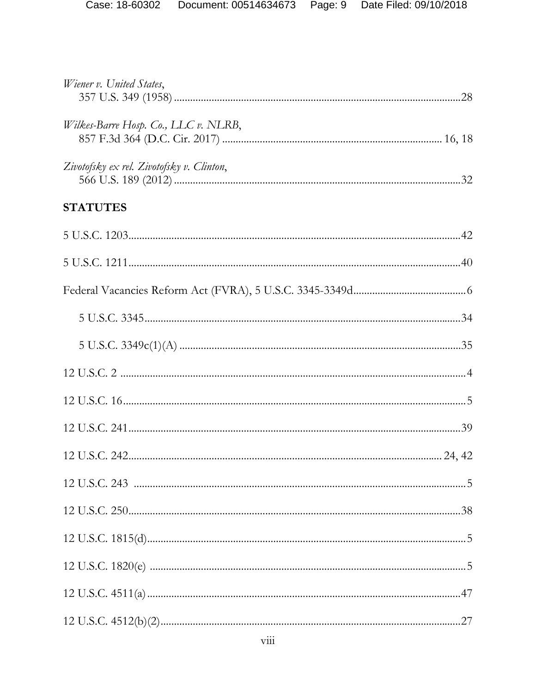| Wiener v. United States,                  |  |
|-------------------------------------------|--|
| Wilkes-Barre Hosp. Co., LLC v. NLRB,      |  |
| Zivotofsky ex rel. Zivotofsky v. Clinton, |  |
| <b>STATUTES</b>                           |  |
|                                           |  |
|                                           |  |
|                                           |  |
|                                           |  |
|                                           |  |
|                                           |  |
|                                           |  |
|                                           |  |
|                                           |  |
|                                           |  |
|                                           |  |
|                                           |  |
|                                           |  |
|                                           |  |
|                                           |  |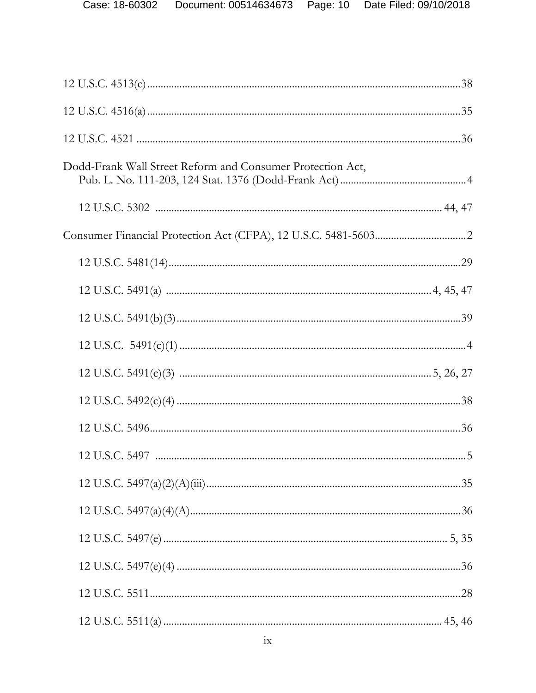| Dodd-Frank Wall Street Reform and Consumer Protection Act, |  |
|------------------------------------------------------------|--|
|                                                            |  |
|                                                            |  |
|                                                            |  |
|                                                            |  |
|                                                            |  |
|                                                            |  |
|                                                            |  |
|                                                            |  |
|                                                            |  |
|                                                            |  |
|                                                            |  |
|                                                            |  |
|                                                            |  |
|                                                            |  |
|                                                            |  |
|                                                            |  |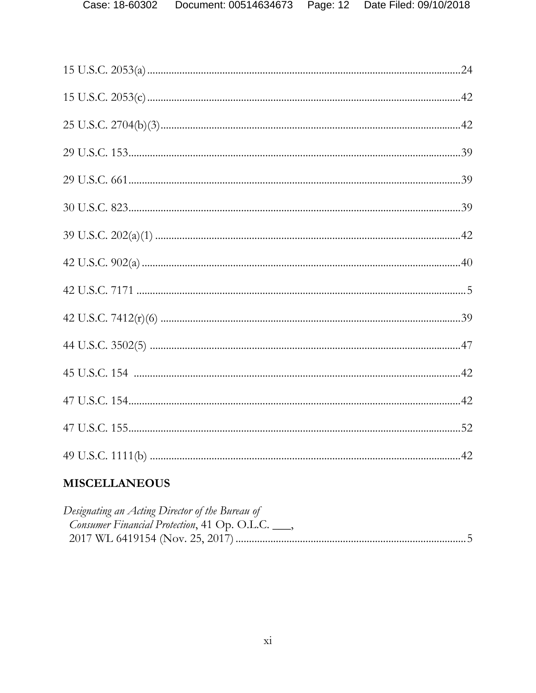# **MISCELLANEOUS**

| Designating an Acting Director of the Bureau of           |  |
|-----------------------------------------------------------|--|
| <i>Consumer Financial Protection</i> , 41 Op. O.L.C. ___, |  |
|                                                           |  |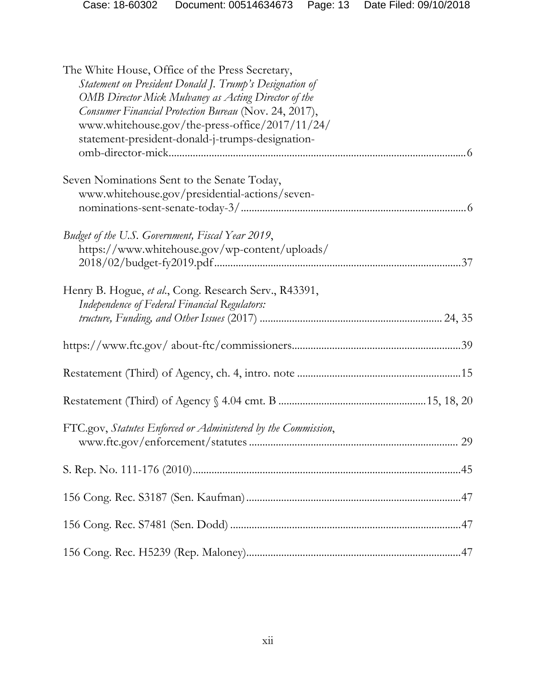| Case: 18-60302 | Document: 00514634673    Page: 13    Date Filed: 09/10/2018 |  |
|----------------|-------------------------------------------------------------|--|
|                |                                                             |  |

| The White House, Office of the Press Secretary,<br>Statement on President Donald J. Trump's Designation of<br>OMB Director Mick Mulvaney as Acting Director of the<br>Consumer Financial Protection Bureau (Nov. 24, 2017),<br>www.whitehouse.gov/the-press-office/2017/11/24/<br>statement-president-donald-j-trumps-designation- |  |  |  |
|------------------------------------------------------------------------------------------------------------------------------------------------------------------------------------------------------------------------------------------------------------------------------------------------------------------------------------|--|--|--|
| Seven Nominations Sent to the Senate Today,<br>www.whitehouse.gov/presidential-actions/seven-                                                                                                                                                                                                                                      |  |  |  |
| Budget of the U.S. Government, Fiscal Year 2019,<br>https://www.whitehouse.gov/wp-content/uploads/                                                                                                                                                                                                                                 |  |  |  |
| Henry B. Hogue, et al., Cong. Research Serv., R43391,<br>Independence of Federal Financial Regulators:                                                                                                                                                                                                                             |  |  |  |
|                                                                                                                                                                                                                                                                                                                                    |  |  |  |
|                                                                                                                                                                                                                                                                                                                                    |  |  |  |
|                                                                                                                                                                                                                                                                                                                                    |  |  |  |
| FTC.gov, Statutes Enforced or Administered by the Commission,                                                                                                                                                                                                                                                                      |  |  |  |
|                                                                                                                                                                                                                                                                                                                                    |  |  |  |
|                                                                                                                                                                                                                                                                                                                                    |  |  |  |
|                                                                                                                                                                                                                                                                                                                                    |  |  |  |
|                                                                                                                                                                                                                                                                                                                                    |  |  |  |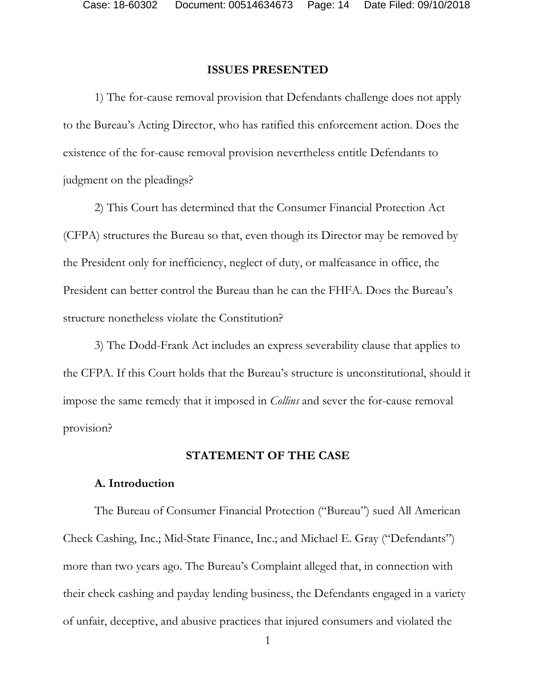#### **ISSUES PRESENTED**

 1) The for-cause removal provision that Defendants challenge does not apply to the Bureau's Acting Director, who has ratified this enforcement action. Does the existence of the for-cause removal provision nevertheless entitle Defendants to judgment on the pleadings?

2) This Court has determined that the Consumer Financial Protection Act (CFPA) structures the Bureau so that, even though its Director may be removed by the President only for inefficiency, neglect of duty, or malfeasance in office, the President can better control the Bureau than he can the FHFA. Does the Bureau's structure nonetheless violate the Constitution?

3) The Dodd-Frank Act includes an express severability clause that applies to the CFPA. If this Court holds that the Bureau's structure is unconstitutional, should it impose the same remedy that it imposed in *Collins* and sever the for-cause removal provision?

#### **STATEMENT OF THE CASE**

#### **A. Introduction**

The Bureau of Consumer Financial Protection ("Bureau") sued All American Check Cashing, Inc.; Mid-State Finance, Inc.; and Michael E. Gray ("Defendants") more than two years ago. The Bureau's Complaint alleged that, in connection with their check cashing and payday lending business, the Defendants engaged in a variety of unfair, deceptive, and abusive practices that injured consumers and violated the

1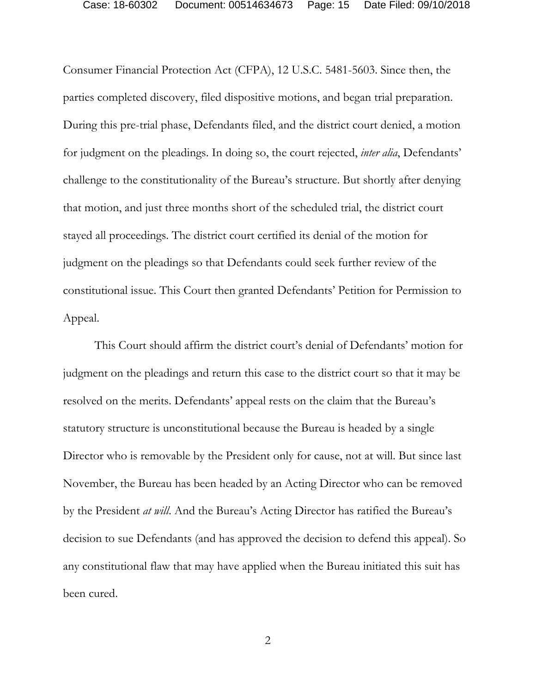Consumer Financial Protection Act (CFPA), 12 U.S.C. 5481-5603. Since then, the parties completed discovery, filed dispositive motions, and began trial preparation. During this pre-trial phase, Defendants filed, and the district court denied, a motion for judgment on the pleadings. In doing so, the court rejected, *inter alia*, Defendants' challenge to the constitutionality of the Bureau's structure. But shortly after denying that motion, and just three months short of the scheduled trial, the district court stayed all proceedings. The district court certified its denial of the motion for judgment on the pleadings so that Defendants could seek further review of the constitutional issue. This Court then granted Defendants' Petition for Permission to Appeal.

This Court should affirm the district court's denial of Defendants' motion for judgment on the pleadings and return this case to the district court so that it may be resolved on the merits. Defendants' appeal rests on the claim that the Bureau's statutory structure is unconstitutional because the Bureau is headed by a single Director who is removable by the President only for cause, not at will. But since last November, the Bureau has been headed by an Acting Director who can be removed by the President *at will*. And the Bureau's Acting Director has ratified the Bureau's decision to sue Defendants (and has approved the decision to defend this appeal). So any constitutional flaw that may have applied when the Bureau initiated this suit has been cured.

2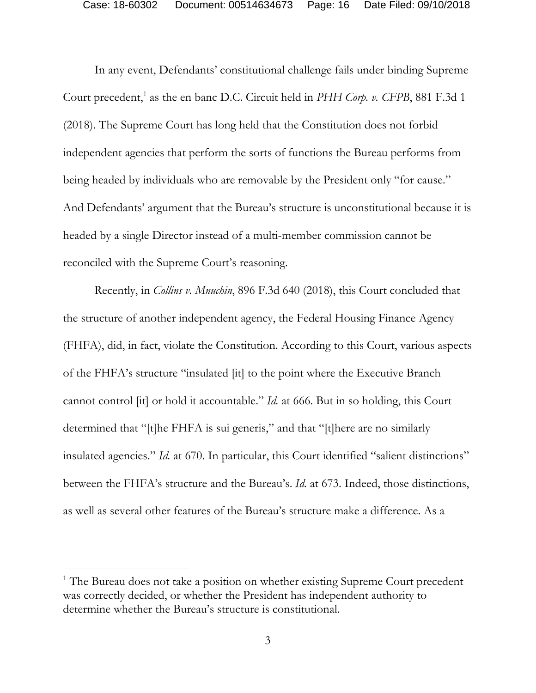In any event, Defendants' constitutional challenge fails under binding Supreme Court precedent,<sup>1</sup> as the en banc D.C. Circuit held in *PHH Corp. v. CFPB*, 881 F.3d 1 (2018). The Supreme Court has long held that the Constitution does not forbid independent agencies that perform the sorts of functions the Bureau performs from being headed by individuals who are removable by the President only "for cause." And Defendants' argument that the Bureau's structure is unconstitutional because it is headed by a single Director instead of a multi-member commission cannot be reconciled with the Supreme Court's reasoning.

Recently, in *Collins v. Mnuchin*, 896 F.3d 640 (2018), this Court concluded that the structure of another independent agency, the Federal Housing Finance Agency (FHFA), did, in fact, violate the Constitution. According to this Court, various aspects of the FHFA's structure "insulated [it] to the point where the Executive Branch cannot control [it] or hold it accountable." *Id.* at 666. But in so holding, this Court determined that "[t]he FHFA is sui generis," and that "[t]here are no similarly insulated agencies." *Id.* at 670. In particular, this Court identified "salient distinctions" between the FHFA's structure and the Bureau's. *Id.* at 673. Indeed, those distinctions, as well as several other features of the Bureau's structure make a difference. As a

<sup>&</sup>lt;sup>1</sup> The Bureau does not take a position on whether existing Supreme Court precedent was correctly decided, or whether the President has independent authority to determine whether the Bureau's structure is constitutional.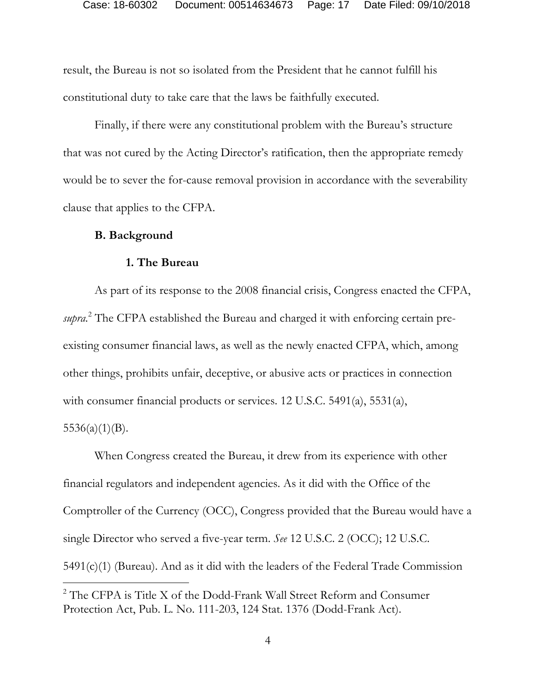result, the Bureau is not so isolated from the President that he cannot fulfill his constitutional duty to take care that the laws be faithfully executed.

 Finally, if there were any constitutional problem with the Bureau's structure that was not cured by the Acting Director's ratification, then the appropriate remedy would be to sever the for-cause removal provision in accordance with the severability clause that applies to the CFPA.

#### **B. Background**

#### **1. The Bureau**

As part of its response to the 2008 financial crisis, Congress enacted the CFPA, supra.<sup>2</sup> The CFPA established the Bureau and charged it with enforcing certain preexisting consumer financial laws, as well as the newly enacted CFPA, which, among other things, prohibits unfair, deceptive, or abusive acts or practices in connection with consumer financial products or services. 12 U.S.C. 5491(a), 5531(a),

 $5536(a)(1)(B)$ .

When Congress created the Bureau, it drew from its experience with other financial regulators and independent agencies. As it did with the Office of the Comptroller of the Currency (OCC), Congress provided that the Bureau would have a single Director who served a five-year term. *See* 12 U.S.C. 2 (OCC); 12 U.S.C. 5491(c)(1) (Bureau). And as it did with the leaders of the Federal Trade Commission  $\overline{a}$ 

<sup>&</sup>lt;sup>2</sup> The CFPA is Title X of the Dodd-Frank Wall Street Reform and Consumer Protection Act, Pub. L. No. 111-203, 124 Stat. 1376 (Dodd-Frank Act).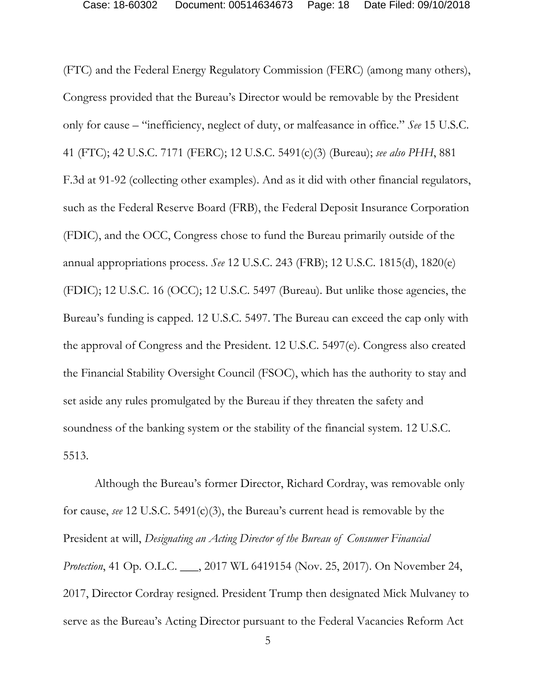(FTC) and the Federal Energy Regulatory Commission (FERC) (among many others), Congress provided that the Bureau's Director would be removable by the President only for cause – "inefficiency, neglect of duty, or malfeasance in office." *See* 15 U.S.C. 41 (FTC); 42 U.S.C. 7171 (FERC); 12 U.S.C. 5491(c)(3) (Bureau); *see also PHH*, 881 F.3d at 91-92 (collecting other examples). And as it did with other financial regulators, such as the Federal Reserve Board (FRB), the Federal Deposit Insurance Corporation (FDIC), and the OCC, Congress chose to fund the Bureau primarily outside of the annual appropriations process. *See* 12 U.S.C. 243 (FRB); 12 U.S.C. 1815(d), 1820(e) (FDIC); 12 U.S.C. 16 (OCC); 12 U.S.C. 5497 (Bureau). But unlike those agencies, the Bureau's funding is capped. 12 U.S.C. 5497. The Bureau can exceed the cap only with the approval of Congress and the President. 12 U.S.C. 5497(e). Congress also created the Financial Stability Oversight Council (FSOC), which has the authority to stay and set aside any rules promulgated by the Bureau if they threaten the safety and soundness of the banking system or the stability of the financial system. 12 U.S.C. 5513.

Although the Bureau's former Director, Richard Cordray, was removable only for cause, *see* 12 U.S.C. 5491(c)(3), the Bureau's current head is removable by the President at will, *Designating an Acting Director of the Bureau of Consumer Financial Protection*, 41 Op. O.L.C. \_\_\_, 2017 WL 6419154 (Nov. 25, 2017). On November 24, 2017, Director Cordray resigned. President Trump then designated Mick Mulvaney to serve as the Bureau's Acting Director pursuant to the Federal Vacancies Reform Act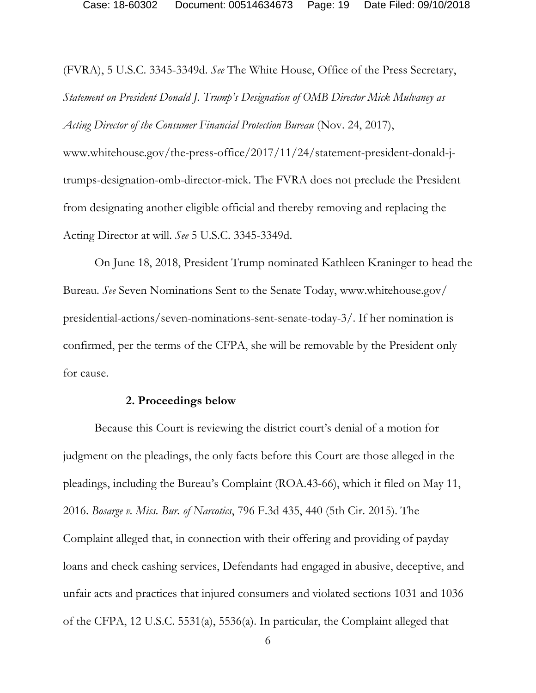(FVRA), 5 U.S.C. 3345-3349d. *See* The White House, Office of the Press Secretary, *Statement on President Donald J. Trump's Designation of OMB Director Mick Mulvaney as Acting Director of the Consumer Financial Protection Bureau* (Nov. 24, 2017),

www.whitehouse.gov/the-press-office/2017/11/24/statement-president-donald-jtrumps-designation-omb-director-mick. The FVRA does not preclude the President from designating another eligible official and thereby removing and replacing the Acting Director at will. *See* 5 U.S.C. 3345-3349d.

 On June 18, 2018, President Trump nominated Kathleen Kraninger to head the Bureau. *See* Seven Nominations Sent to the Senate Today, www.whitehouse.gov/ presidential-actions/seven-nominations-sent-senate-today-3/. If her nomination is confirmed, per the terms of the CFPA, she will be removable by the President only for cause.

#### **2. Proceedings below**

Because this Court is reviewing the district court's denial of a motion for judgment on the pleadings, the only facts before this Court are those alleged in the pleadings, including the Bureau's Complaint (ROA.43-66), which it filed on May 11, 2016. *Bosarge v. Miss. Bur. of Narcotics*, 796 F.3d 435, 440 (5th Cir. 2015). The Complaint alleged that, in connection with their offering and providing of payday loans and check cashing services, Defendants had engaged in abusive, deceptive, and unfair acts and practices that injured consumers and violated sections 1031 and 1036 of the CFPA, 12 U.S.C. 5531(a), 5536(a). In particular, the Complaint alleged that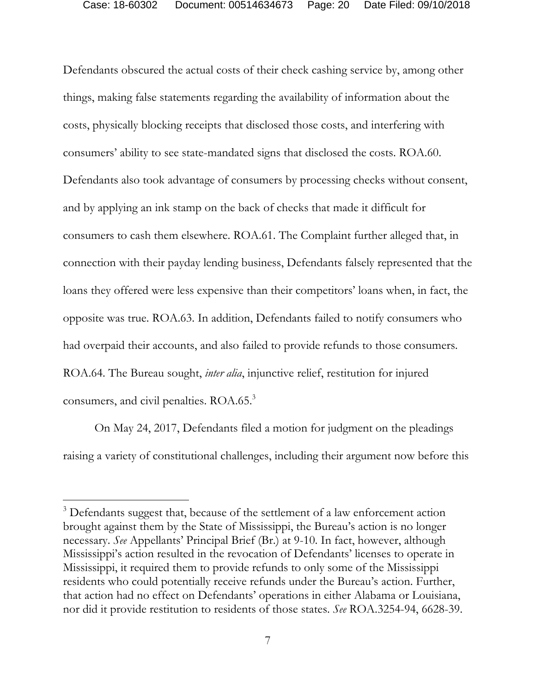Defendants obscured the actual costs of their check cashing service by, among other things, making false statements regarding the availability of information about the costs, physically blocking receipts that disclosed those costs, and interfering with consumers' ability to see state-mandated signs that disclosed the costs. ROA.60. Defendants also took advantage of consumers by processing checks without consent, and by applying an ink stamp on the back of checks that made it difficult for consumers to cash them elsewhere. ROA.61. The Complaint further alleged that, in connection with their payday lending business, Defendants falsely represented that the loans they offered were less expensive than their competitors' loans when, in fact, the opposite was true. ROA.63. In addition, Defendants failed to notify consumers who had overpaid their accounts, and also failed to provide refunds to those consumers. ROA.64. The Bureau sought, *inter alia*, injunctive relief, restitution for injured consumers, and civil penalties. ROA.65.<sup>3</sup>

On May 24, 2017, Defendants filed a motion for judgment on the pleadings raising a variety of constitutional challenges, including their argument now before this

-

<sup>&</sup>lt;sup>3</sup> Defendants suggest that, because of the settlement of a law enforcement action brought against them by the State of Mississippi, the Bureau's action is no longer necessary. *See* Appellants' Principal Brief (Br.) at 9-10. In fact, however, although Mississippi's action resulted in the revocation of Defendants' licenses to operate in Mississippi, it required them to provide refunds to only some of the Mississippi residents who could potentially receive refunds under the Bureau's action. Further, that action had no effect on Defendants' operations in either Alabama or Louisiana, nor did it provide restitution to residents of those states. *See* ROA.3254-94, 6628-39.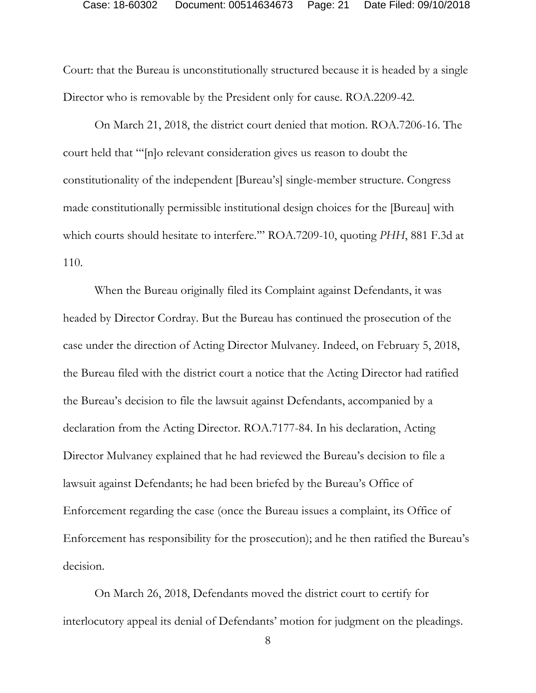Court: that the Bureau is unconstitutionally structured because it is headed by a single Director who is removable by the President only for cause. ROA.2209-42.

On March 21, 2018, the district court denied that motion. ROA.7206-16. The court held that "'[n]o relevant consideration gives us reason to doubt the constitutionality of the independent [Bureau's] single-member structure. Congress made constitutionally permissible institutional design choices for the [Bureau] with which courts should hesitate to interfere.'" ROA.7209-10, quoting *PHH*, 881 F.3d at 110.

 When the Bureau originally filed its Complaint against Defendants, it was headed by Director Cordray. But the Bureau has continued the prosecution of the case under the direction of Acting Director Mulvaney. Indeed, on February 5, 2018, the Bureau filed with the district court a notice that the Acting Director had ratified the Bureau's decision to file the lawsuit against Defendants, accompanied by a declaration from the Acting Director. ROA.7177-84. In his declaration, Acting Director Mulvaney explained that he had reviewed the Bureau's decision to file a lawsuit against Defendants; he had been briefed by the Bureau's Office of Enforcement regarding the case (once the Bureau issues a complaint, its Office of Enforcement has responsibility for the prosecution); and he then ratified the Bureau's decision.

 On March 26, 2018, Defendants moved the district court to certify for interlocutory appeal its denial of Defendants' motion for judgment on the pleadings.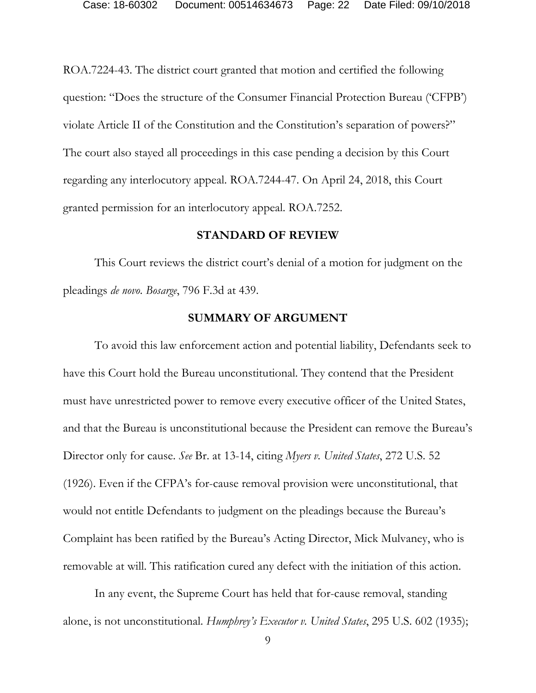ROA.7224-43. The district court granted that motion and certified the following question: "Does the structure of the Consumer Financial Protection Bureau ('CFPB') violate Article II of the Constitution and the Constitution's separation of powers?" The court also stayed all proceedings in this case pending a decision by this Court regarding any interlocutory appeal. ROA.7244-47. On April 24, 2018, this Court granted permission for an interlocutory appeal. ROA.7252.

#### **STANDARD OF REVIEW**

This Court reviews the district court's denial of a motion for judgment on the pleadings *de novo*. *Bosarge*, 796 F.3d at 439.

#### **SUMMARY OF ARGUMENT**

To avoid this law enforcement action and potential liability, Defendants seek to have this Court hold the Bureau unconstitutional. They contend that the President must have unrestricted power to remove every executive officer of the United States, and that the Bureau is unconstitutional because the President can remove the Bureau's Director only for cause. *See* Br. at 13-14, citing *Myers v. United States*, 272 U.S. 52 (1926). Even if the CFPA's for-cause removal provision were unconstitutional, that would not entitle Defendants to judgment on the pleadings because the Bureau's Complaint has been ratified by the Bureau's Acting Director, Mick Mulvaney, who is removable at will. This ratification cured any defect with the initiation of this action.

In any event, the Supreme Court has held that for-cause removal, standing alone, is not unconstitutional. *Humphrey's Executor v. United States*, 295 U.S. 602 (1935);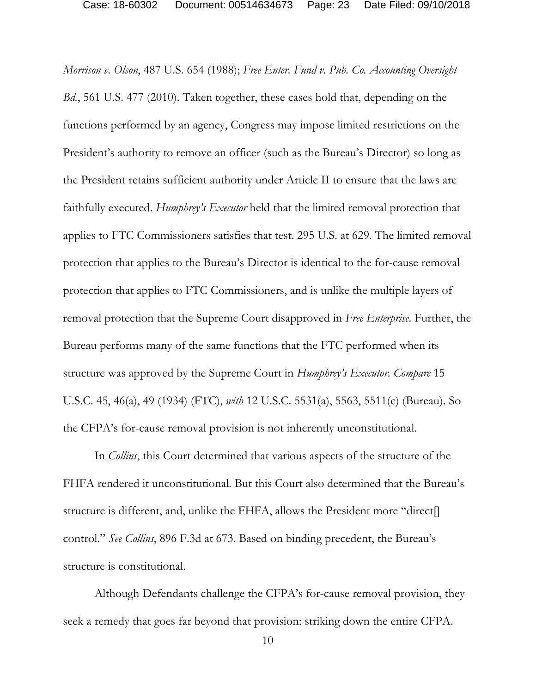*Morrison v. Olson*, 487 U.S. 654 (1988); *Free Enter. Fund v. Pub. Co. Accounting Oversight Bd.*, 561 U.S. 477 (2010). Taken together, these cases hold that, depending on the functions performed by an agency, Congress may impose limited restrictions on the President's authority to remove an officer (such as the Bureau's Director) so long as the President retains sufficient authority under Article II to ensure that the laws are faithfully executed. *Humphrey's Executor* held that the limited removal protection that applies to FTC Commissioners satisfies that test. 295 U.S. at 629. The limited removal protection that applies to the Bureau's Director is identical to the for-cause removal protection that applies to FTC Commissioners, and is unlike the multiple layers of removal protection that the Supreme Court disapproved in *Free Enterprise*. Further, the Bureau performs many of the same functions that the FTC performed when its structure was approved by the Supreme Court in *Humphrey's Executor*. *Compare* 15 U.S.C. 45, 46(a), 49 (1934) (FTC), *with* 12 U.S.C. 5531(a), 5563, 5511(c) (Bureau). So the CFPA's for-cause removal provision is not inherently unconstitutional.

In *Collins*, this Court determined that various aspects of the structure of the FHFA rendered it unconstitutional. But this Court also determined that the Bureau's structure is different, and, unlike the FHFA, allows the President more "direct[] control." *See Collins*, 896 F.3d at 673. Based on binding precedent, the Bureau's structure is constitutional.

Although Defendants challenge the CFPA's for-cause removal provision, they seek a remedy that goes far beyond that provision: striking down the entire CFPA.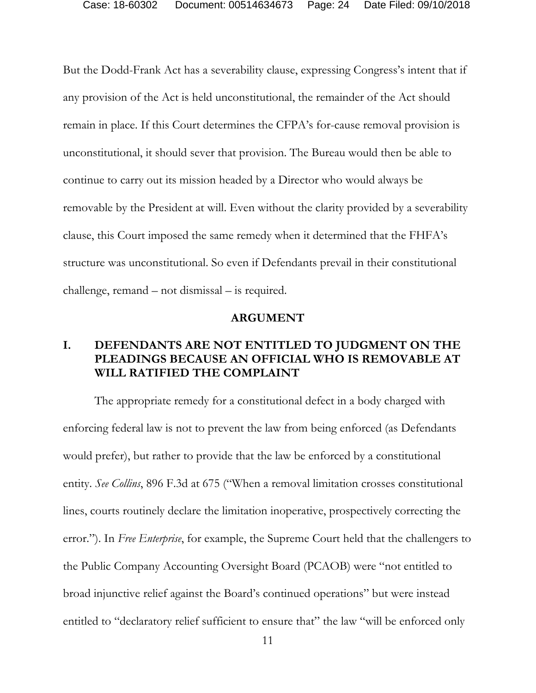But the Dodd-Frank Act has a severability clause, expressing Congress's intent that if any provision of the Act is held unconstitutional, the remainder of the Act should remain in place. If this Court determines the CFPA's for-cause removal provision is unconstitutional, it should sever that provision. The Bureau would then be able to continue to carry out its mission headed by a Director who would always be removable by the President at will. Even without the clarity provided by a severability clause, this Court imposed the same remedy when it determined that the FHFA's structure was unconstitutional. So even if Defendants prevail in their constitutional challenge, remand – not dismissal – is required.

#### **ARGUMENT**

## **I. DEFENDANTS ARE NOT ENTITLED TO JUDGMENT ON THE PLEADINGS BECAUSE AN OFFICIAL WHO IS REMOVABLE AT WILL RATIFIED THE COMPLAINT**

The appropriate remedy for a constitutional defect in a body charged with enforcing federal law is not to prevent the law from being enforced (as Defendants would prefer), but rather to provide that the law be enforced by a constitutional entity. *See Collins*, 896 F.3d at 675 ("When a removal limitation crosses constitutional lines, courts routinely declare the limitation inoperative, prospectively correcting the error."). In *Free Enterprise*, for example, the Supreme Court held that the challengers to the Public Company Accounting Oversight Board (PCAOB) were "not entitled to broad injunctive relief against the Board's continued operations" but were instead entitled to "declaratory relief sufficient to ensure that" the law "will be enforced only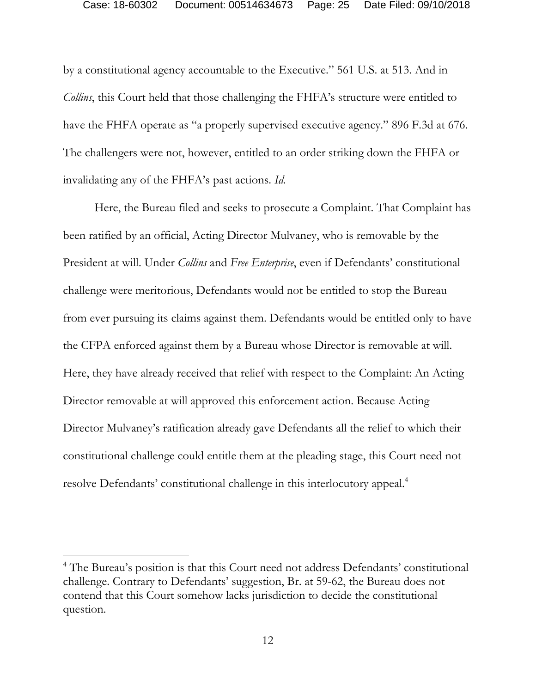by a constitutional agency accountable to the Executive." 561 U.S. at 513. And in *Collins*, this Court held that those challenging the FHFA's structure were entitled to have the FHFA operate as "a properly supervised executive agency." 896 F.3d at 676. The challengers were not, however, entitled to an order striking down the FHFA or invalidating any of the FHFA's past actions. *Id.* 

Here, the Bureau filed and seeks to prosecute a Complaint. That Complaint has been ratified by an official, Acting Director Mulvaney, who is removable by the President at will. Under *Collins* and *Free Enterprise*, even if Defendants' constitutional challenge were meritorious, Defendants would not be entitled to stop the Bureau from ever pursuing its claims against them. Defendants would be entitled only to have the CFPA enforced against them by a Bureau whose Director is removable at will. Here, they have already received that relief with respect to the Complaint: An Acting Director removable at will approved this enforcement action. Because Acting Director Mulvaney's ratification already gave Defendants all the relief to which their constitutional challenge could entitle them at the pleading stage, this Court need not resolve Defendants' constitutional challenge in this interlocutory appeal.<sup>4</sup>

-

<sup>&</sup>lt;sup>4</sup> The Bureau's position is that this Court need not address Defendants' constitutional challenge. Contrary to Defendants' suggestion, Br. at 59-62, the Bureau does not contend that this Court somehow lacks jurisdiction to decide the constitutional question.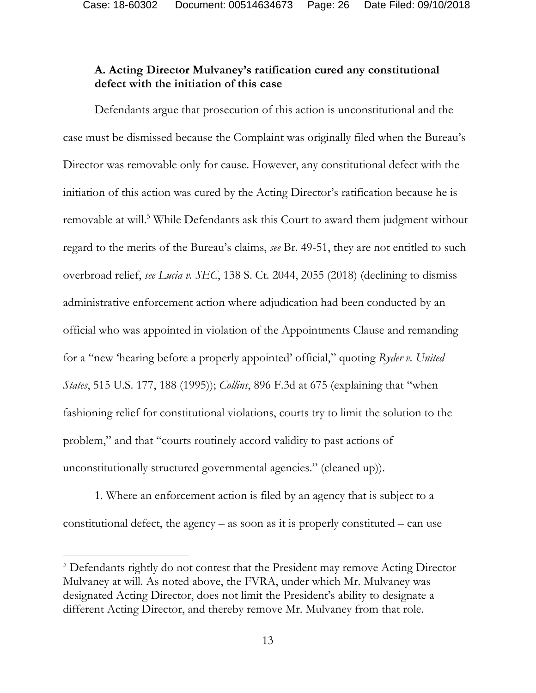## **A. Acting Director Mulvaney's ratification cured any constitutional defect with the initiation of this case**

Defendants argue that prosecution of this action is unconstitutional and the case must be dismissed because the Complaint was originally filed when the Bureau's Director was removable only for cause. However, any constitutional defect with the initiation of this action was cured by the Acting Director's ratification because he is removable at will.<sup>5</sup> While Defendants ask this Court to award them judgment without regard to the merits of the Bureau's claims, *see* Br. 49-51, they are not entitled to such overbroad relief, *see Lucia v. SEC*, 138 S. Ct. 2044, 2055 (2018) (declining to dismiss administrative enforcement action where adjudication had been conducted by an official who was appointed in violation of the Appointments Clause and remanding for a "new 'hearing before a properly appointed' official," quoting *Ryder v. United States*, 515 U.S. 177, 188 (1995)); *Collins*, 896 F.3d at 675 (explaining that "when fashioning relief for constitutional violations, courts try to limit the solution to the problem," and that "courts routinely accord validity to past actions of unconstitutionally structured governmental agencies." (cleaned up)).

1. Where an enforcement action is filed by an agency that is subject to a constitutional defect, the agency  $-$  as soon as it is properly constituted  $-$  can use

-

<sup>&</sup>lt;sup>5</sup> Defendants rightly do not contest that the President may remove Acting Director Mulvaney at will. As noted above, the FVRA, under which Mr. Mulvaney was designated Acting Director, does not limit the President's ability to designate a different Acting Director, and thereby remove Mr. Mulvaney from that role.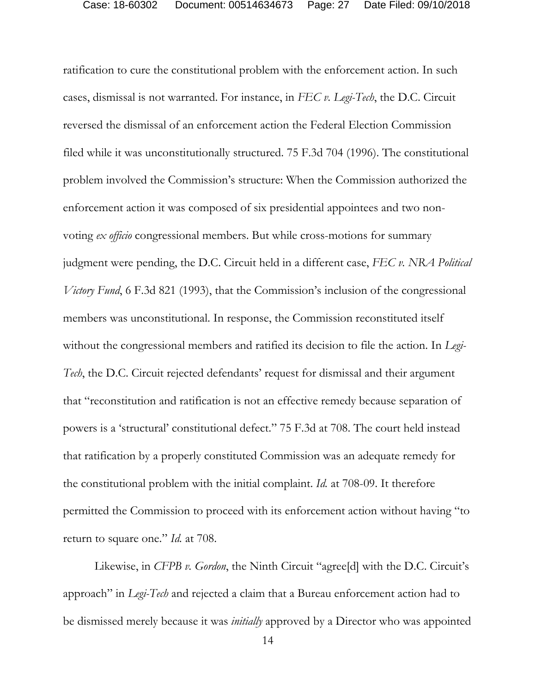ratification to cure the constitutional problem with the enforcement action. In such cases, dismissal is not warranted. For instance, in *FEC v. Legi-Tech*, the D.C. Circuit reversed the dismissal of an enforcement action the Federal Election Commission filed while it was unconstitutionally structured. 75 F.3d 704 (1996). The constitutional problem involved the Commission's structure: When the Commission authorized the enforcement action it was composed of six presidential appointees and two nonvoting *ex officio* congressional members. But while cross-motions for summary judgment were pending, the D.C. Circuit held in a different case, *FEC v. NRA Political Victory Fund*, 6 F.3d 821 (1993), that the Commission's inclusion of the congressional members was unconstitutional. In response, the Commission reconstituted itself without the congressional members and ratified its decision to file the action. In *Legi-Tech*, the D.C. Circuit rejected defendants' request for dismissal and their argument that "reconstitution and ratification is not an effective remedy because separation of powers is a 'structural' constitutional defect." 75 F.3d at 708. The court held instead that ratification by a properly constituted Commission was an adequate remedy for the constitutional problem with the initial complaint. *Id.* at 708-09. It therefore permitted the Commission to proceed with its enforcement action without having "to return to square one." *Id.* at 708.

Likewise, in *CFPB v. Gordon*, the Ninth Circuit "agree[d] with the D.C. Circuit's approach" in *Legi-Tech* and rejected a claim that a Bureau enforcement action had to be dismissed merely because it was *initially* approved by a Director who was appointed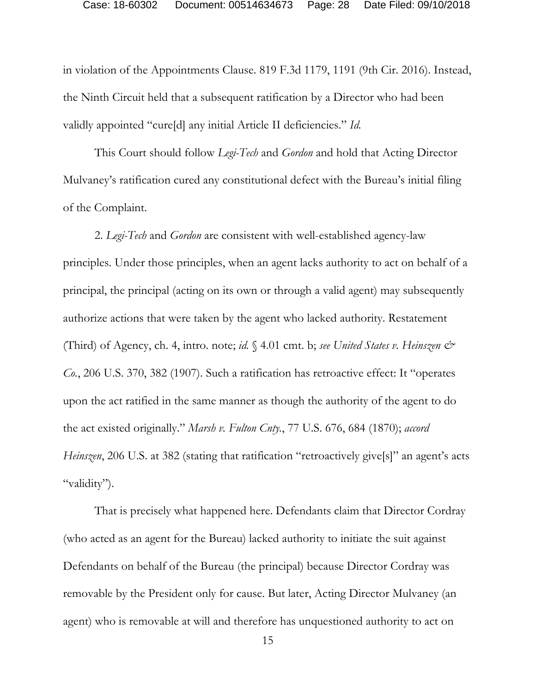in violation of the Appointments Clause. 819 F.3d 1179, 1191 (9th Cir. 2016). Instead, the Ninth Circuit held that a subsequent ratification by a Director who had been validly appointed "cure[d] any initial Article II deficiencies." *Id.*

This Court should follow *Legi-Tech* and *Gordon* and hold that Acting Director Mulvaney's ratification cured any constitutional defect with the Bureau's initial filing of the Complaint.

2. *Legi-Tech* and *Gordon* are consistent with well-established agency-law principles. Under those principles, when an agent lacks authority to act on behalf of a principal, the principal (acting on its own or through a valid agent) may subsequently authorize actions that were taken by the agent who lacked authority. Restatement (Third) of Agency, ch. 4, intro. note; *id.* § 4.01 cmt. b; *see United States v. Heinszen & Co.*, 206 U.S. 370, 382 (1907). Such a ratification has retroactive effect: It "operates upon the act ratified in the same manner as though the authority of the agent to do the act existed originally." *Marsh v. Fulton Cnty.*, 77 U.S. 676, 684 (1870); *accord Heinszen*, 206 U.S. at 382 (stating that ratification "retroactively give<sup>[s]"</sup> an agent's acts "validity").

That is precisely what happened here. Defendants claim that Director Cordray (who acted as an agent for the Bureau) lacked authority to initiate the suit against Defendants on behalf of the Bureau (the principal) because Director Cordray was removable by the President only for cause. But later, Acting Director Mulvaney (an agent) who is removable at will and therefore has unquestioned authority to act on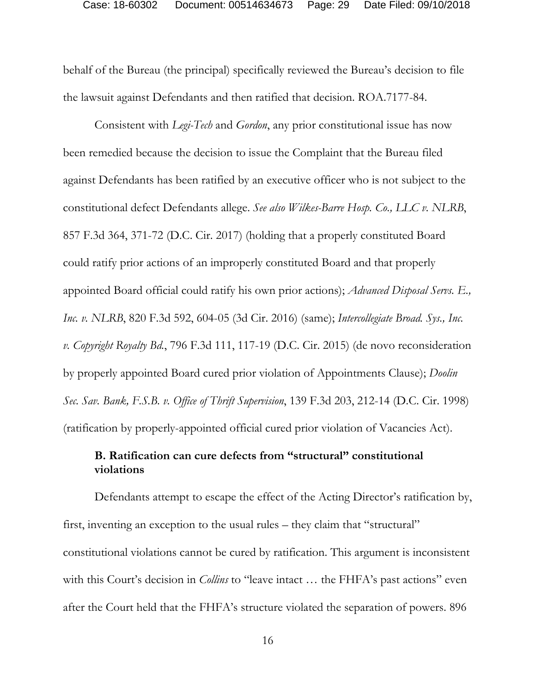behalf of the Bureau (the principal) specifically reviewed the Bureau's decision to file the lawsuit against Defendants and then ratified that decision. ROA.7177-84.

Consistent with *Legi-Tech* and *Gordon*, any prior constitutional issue has now been remedied because the decision to issue the Complaint that the Bureau filed against Defendants has been ratified by an executive officer who is not subject to the constitutional defect Defendants allege. *See also Wilkes-Barre Hosp. Co., LLC v. NLRB*, 857 F.3d 364, 371-72 (D.C. Cir. 2017) (holding that a properly constituted Board could ratify prior actions of an improperly constituted Board and that properly appointed Board official could ratify his own prior actions); *Advanced Disposal Servs. E., Inc. v. NLRB*, 820 F.3d 592, 604-05 (3d Cir. 2016) (same); *Intercollegiate Broad. Sys., Inc. v. Copyright Royalty Bd.*, 796 F.3d 111, 117-19 (D.C. Cir. 2015) (de novo reconsideration by properly appointed Board cured prior violation of Appointments Clause); *Doolin Sec. Sav. Bank, F.S.B. v. Office of Thrift Supervision*, 139 F.3d 203, 212-14 (D.C. Cir. 1998) (ratification by properly-appointed official cured prior violation of Vacancies Act).

## **B. Ratification can cure defects from "structural" constitutional violations**

Defendants attempt to escape the effect of the Acting Director's ratification by, first, inventing an exception to the usual rules – they claim that "structural" constitutional violations cannot be cured by ratification. This argument is inconsistent with this Court's decision in *Collins* to "leave intact ... the FHFA's past actions" even after the Court held that the FHFA's structure violated the separation of powers. 896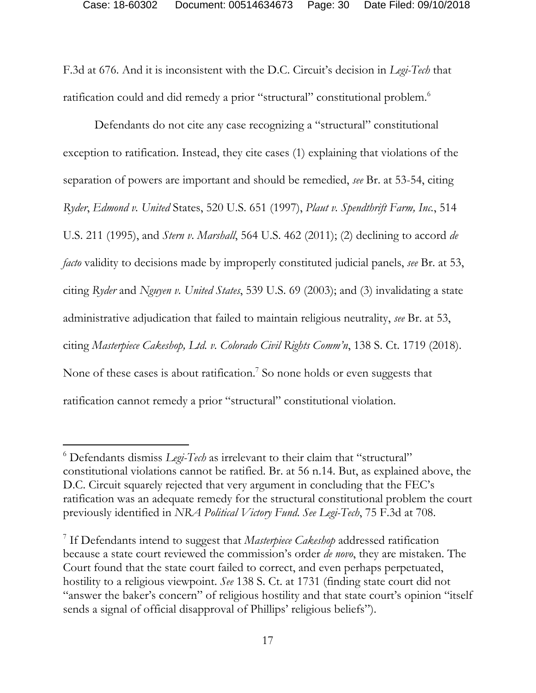F.3d at 676. And it is inconsistent with the D.C. Circuit's decision in *Legi-Tech* that ratification could and did remedy a prior "structural" constitutional problem.<sup>6</sup>

Defendants do not cite any case recognizing a "structural" constitutional exception to ratification. Instead, they cite cases (1) explaining that violations of the separation of powers are important and should be remedied, *see* Br. at 53-54, citing *Ryder*, *Edmond v. United* States, 520 U.S. 651 (1997), *Plaut v. Spendthrift Farm, Inc.*, 514 U.S. 211 (1995), and *Stern v*. *Marshall*, 564 U.S. 462 (2011); (2) declining to accord *de facto* validity to decisions made by improperly constituted judicial panels, *see* Br. at 53, citing *Ryder* and *Nguyen v. United States*, 539 U.S. 69 (2003); and (3) invalidating a state administrative adjudication that failed to maintain religious neutrality, *see* Br. at 53, citing *Masterpiece Cakeshop, Ltd. v. Colorado Civil Rights Comm'n*, 138 S. Ct. 1719 (2018). None of these cases is about ratification.<sup>7</sup> So none holds or even suggests that ratification cannot remedy a prior "structural" constitutional violation.

-

<sup>6</sup> Defendants dismiss *Legi-Tech* as irrelevant to their claim that "structural" constitutional violations cannot be ratified. Br. at 56 n.14. But, as explained above, the D.C. Circuit squarely rejected that very argument in concluding that the FEC's ratification was an adequate remedy for the structural constitutional problem the court previously identified in *NRA Political Victory Fund*. *See Legi-Tech*, 75 F.3d at 708.

<sup>7</sup> If Defendants intend to suggest that *Masterpiece Cakeshop* addressed ratification because a state court reviewed the commission's order *de novo*, they are mistaken. The Court found that the state court failed to correct, and even perhaps perpetuated, hostility to a religious viewpoint. *See* 138 S. Ct. at 1731 (finding state court did not "answer the baker's concern" of religious hostility and that state court's opinion "itself sends a signal of official disapproval of Phillips' religious beliefs").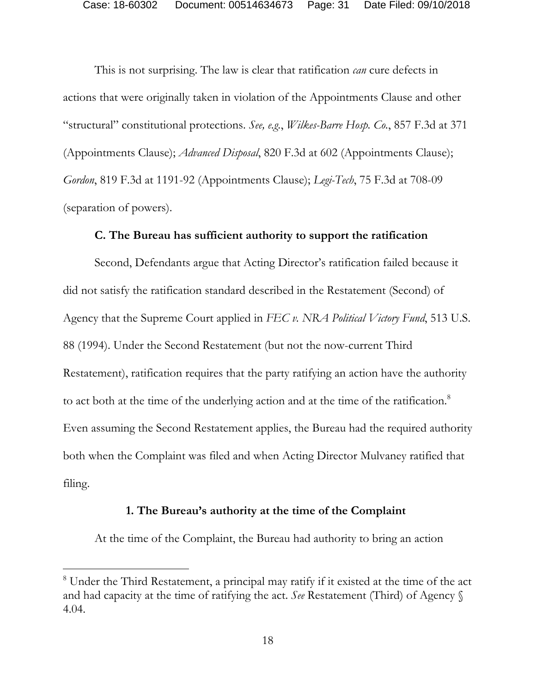This is not surprising. The law is clear that ratification *can* cure defects in actions that were originally taken in violation of the Appointments Clause and other "structural" constitutional protections. *See, e.g.*, *Wilkes-Barre Hosp. Co.*, 857 F.3d at 371 (Appointments Clause); *Advanced Disposal*, 820 F.3d at 602 (Appointments Clause); *Gordon*, 819 F.3d at 1191-92 (Appointments Clause); *Legi-Tech*, 75 F.3d at 708-09 (separation of powers).

### **C. The Bureau has sufficient authority to support the ratification**

Second, Defendants argue that Acting Director's ratification failed because it did not satisfy the ratification standard described in the Restatement (Second) of Agency that the Supreme Court applied in *FEC v. NRA Political Victory Fund*, 513 U.S. 88 (1994). Under the Second Restatement (but not the now-current Third Restatement), ratification requires that the party ratifying an action have the authority to act both at the time of the underlying action and at the time of the ratification.<sup>8</sup> Even assuming the Second Restatement applies, the Bureau had the required authority both when the Complaint was filed and when Acting Director Mulvaney ratified that filing.

### **1. The Bureau's authority at the time of the Complaint**

At the time of the Complaint, the Bureau had authority to bring an action

<sup>&</sup>lt;sup>8</sup> Under the Third Restatement, a principal may ratify if it existed at the time of the act and had capacity at the time of ratifying the act. *See* Restatement (Third) of Agency § 4.04.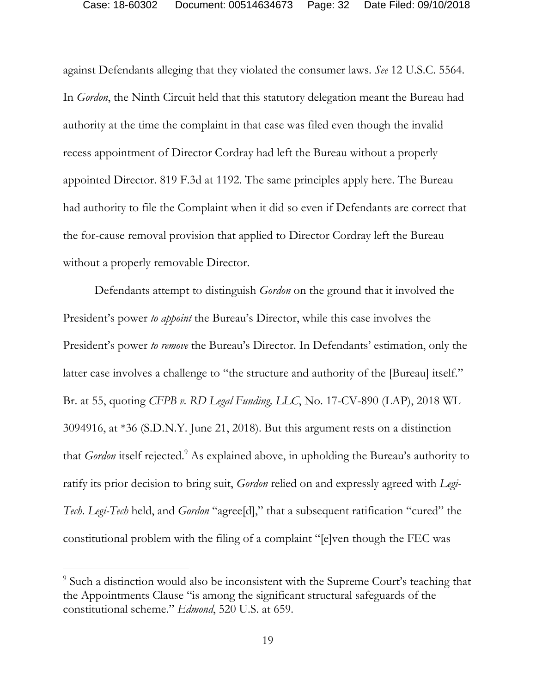against Defendants alleging that they violated the consumer laws. *See* 12 U.S.C. 5564. In *Gordon*, the Ninth Circuit held that this statutory delegation meant the Bureau had authority at the time the complaint in that case was filed even though the invalid recess appointment of Director Cordray had left the Bureau without a properly appointed Director. 819 F.3d at 1192. The same principles apply here. The Bureau had authority to file the Complaint when it did so even if Defendants are correct that the for-cause removal provision that applied to Director Cordray left the Bureau without a properly removable Director.

Defendants attempt to distinguish *Gordon* on the ground that it involved the President's power *to appoint* the Bureau's Director, while this case involves the President's power *to remove* the Bureau's Director. In Defendants' estimation, only the latter case involves a challenge to "the structure and authority of the [Bureau] itself." Br. at 55, quoting *CFPB v. RD Legal Funding, LLC*, No. 17-CV-890 (LAP), 2018 WL 3094916, at \*36 (S.D.N.Y. June 21, 2018). But this argument rests on a distinction that *Gordon* itself rejected.<sup>9</sup> As explained above, in upholding the Bureau's authority to ratify its prior decision to bring suit, *Gordon* relied on and expressly agreed with *Legi-Tech*. *Legi-Tech* held, and *Gordon* "agree[d]," that a subsequent ratification "cured" the constitutional problem with the filing of a complaint "[e]ven though the FEC was

<sup>&</sup>lt;sup>9</sup> Such a distinction would also be inconsistent with the Supreme Court's teaching that the Appointments Clause "is among the significant structural safeguards of the constitutional scheme." *Edmond*, 520 U.S. at 659.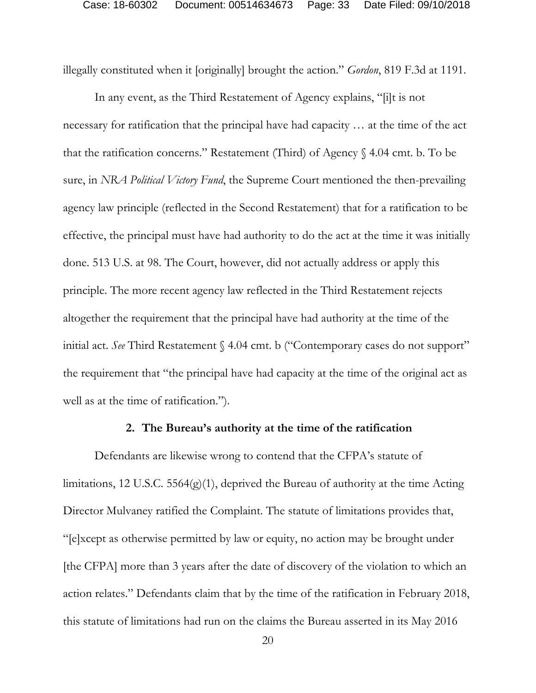illegally constituted when it [originally] brought the action." *Gordon*, 819 F.3d at 1191.

In any event, as the Third Restatement of Agency explains, "[i]t is not necessary for ratification that the principal have had capacity … at the time of the act that the ratification concerns." Restatement (Third) of Agency § 4.04 cmt. b. To be sure, in *NRA Political Victory Fund*, the Supreme Court mentioned the then-prevailing agency law principle (reflected in the Second Restatement) that for a ratification to be effective, the principal must have had authority to do the act at the time it was initially done. 513 U.S. at 98. The Court, however, did not actually address or apply this principle. The more recent agency law reflected in the Third Restatement rejects altogether the requirement that the principal have had authority at the time of the initial act. *See* Third Restatement § 4.04 cmt. b ("Contemporary cases do not support" the requirement that "the principal have had capacity at the time of the original act as well as at the time of ratification.").

#### **2. The Bureau's authority at the time of the ratification**

Defendants are likewise wrong to contend that the CFPA's statute of limitations, 12 U.S.C. 5564(g)(1), deprived the Bureau of authority at the time Acting Director Mulvaney ratified the Complaint. The statute of limitations provides that, "[e]xcept as otherwise permitted by law or equity, no action may be brought under [the CFPA] more than 3 years after the date of discovery of the violation to which an action relates." Defendants claim that by the time of the ratification in February 2018, this statute of limitations had run on the claims the Bureau asserted in its May 2016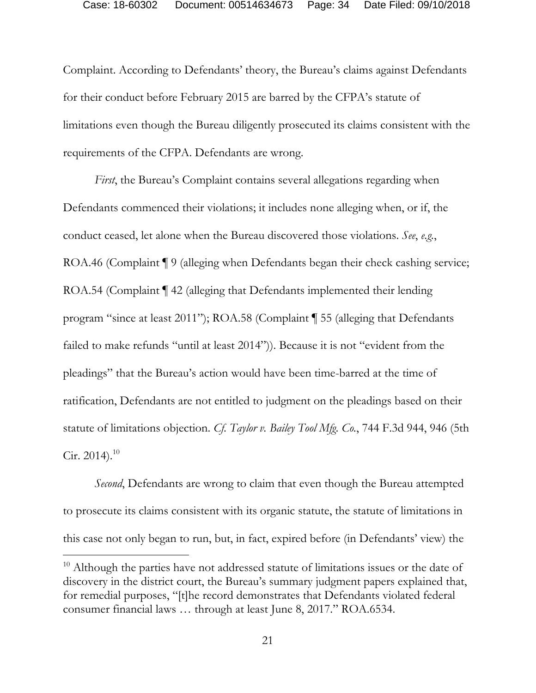Complaint. According to Defendants' theory, the Bureau's claims against Defendants for their conduct before February 2015 are barred by the CFPA's statute of limitations even though the Bureau diligently prosecuted its claims consistent with the requirements of the CFPA. Defendants are wrong.

*First*, the Bureau's Complaint contains several allegations regarding when Defendants commenced their violations; it includes none alleging when, or if, the conduct ceased, let alone when the Bureau discovered those violations. *See*, *e.g.*, ROA.46 (Complaint ¶ 9 (alleging when Defendants began their check cashing service; ROA.54 (Complaint  $\P$  42 (alleging that Defendants implemented their lending program "since at least 2011"); ROA.58 (Complaint ¶ 55 (alleging that Defendants failed to make refunds "until at least 2014")). Because it is not "evident from the pleadings" that the Bureau's action would have been time-barred at the time of ratification, Defendants are not entitled to judgment on the pleadings based on their statute of limitations objection. *Cf. Taylor v. Bailey Tool Mfg. Co.*, 744 F.3d 944, 946 (5th Cir. 2014). $^{10}$ 

*Second*, Defendants are wrong to claim that even though the Bureau attempted to prosecute its claims consistent with its organic statute, the statute of limitations in this case not only began to run, but, in fact, expired before (in Defendants' view) the

<sup>&</sup>lt;sup>10</sup> Although the parties have not addressed statute of limitations issues or the date of discovery in the district court, the Bureau's summary judgment papers explained that, for remedial purposes, "[t]he record demonstrates that Defendants violated federal consumer financial laws … through at least June 8, 2017." ROA.6534.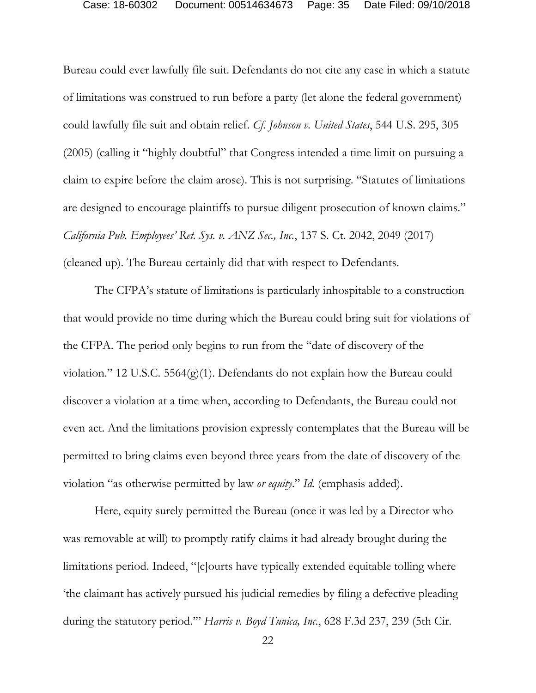Bureau could ever lawfully file suit. Defendants do not cite any case in which a statute of limitations was construed to run before a party (let alone the federal government) could lawfully file suit and obtain relief. *Cf. Johnson v. United States*, 544 U.S. 295, 305 (2005) (calling it "highly doubtful" that Congress intended a time limit on pursuing a claim to expire before the claim arose). This is not surprising. "Statutes of limitations are designed to encourage plaintiffs to pursue diligent prosecution of known claims." *California Pub. Employees' Ret. Sys. v. ANZ Sec., Inc.*, 137 S. Ct. 2042, 2049 (2017) (cleaned up). The Bureau certainly did that with respect to Defendants.

The CFPA's statute of limitations is particularly inhospitable to a construction that would provide no time during which the Bureau could bring suit for violations of the CFPA. The period only begins to run from the "date of discovery of the violation." 12 U.S.C. 5564(g)(1). Defendants do not explain how the Bureau could discover a violation at a time when, according to Defendants, the Bureau could not even act. And the limitations provision expressly contemplates that the Bureau will be permitted to bring claims even beyond three years from the date of discovery of the violation "as otherwise permitted by law *or equity*." *Id.* (emphasis added).

Here, equity surely permitted the Bureau (once it was led by a Director who was removable at will) to promptly ratify claims it had already brought during the limitations period. Indeed, "[c]ourts have typically extended equitable tolling where 'the claimant has actively pursued his judicial remedies by filing a defective pleading during the statutory period.'" *Harris v. Boyd Tunica, Inc.*, 628 F.3d 237, 239 (5th Cir.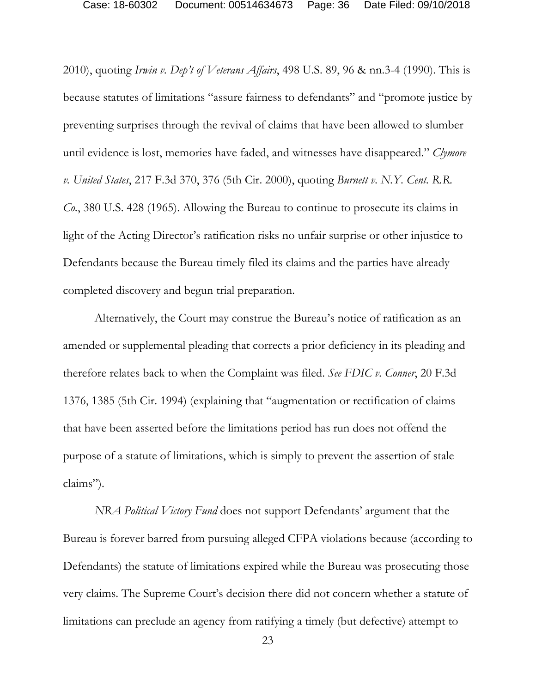2010), quoting *Irwin v. Dep't of Veterans Affairs*, 498 U.S. 89, 96 & nn.3-4 (1990). This is because statutes of limitations "assure fairness to defendants" and "promote justice by preventing surprises through the revival of claims that have been allowed to slumber until evidence is lost, memories have faded, and witnesses have disappeared." *Clymore v. United States*, 217 F.3d 370, 376 (5th Cir. 2000), quoting *Burnett v. N.Y. Cent. R.R. Co.*, 380 U.S. 428 (1965). Allowing the Bureau to continue to prosecute its claims in light of the Acting Director's ratification risks no unfair surprise or other injustice to Defendants because the Bureau timely filed its claims and the parties have already completed discovery and begun trial preparation.

Alternatively, the Court may construe the Bureau's notice of ratification as an amended or supplemental pleading that corrects a prior deficiency in its pleading and therefore relates back to when the Complaint was filed. *See FDIC v. Conner*, 20 F.3d 1376, 1385 (5th Cir. 1994) (explaining that "augmentation or rectification of claims that have been asserted before the limitations period has run does not offend the purpose of a statute of limitations, which is simply to prevent the assertion of stale claims").

*NRA Political Victory Fund* does not support Defendants' argument that the Bureau is forever barred from pursuing alleged CFPA violations because (according to Defendants) the statute of limitations expired while the Bureau was prosecuting those very claims. The Supreme Court's decision there did not concern whether a statute of limitations can preclude an agency from ratifying a timely (but defective) attempt to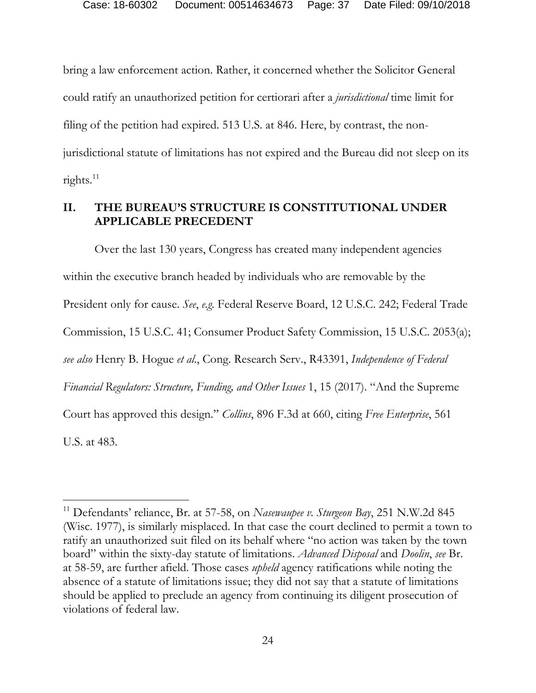bring a law enforcement action. Rather, it concerned whether the Solicitor General could ratify an unauthorized petition for certiorari after a *jurisdictional* time limit for filing of the petition had expired. 513 U.S. at 846. Here, by contrast, the nonjurisdictional statute of limitations has not expired and the Bureau did not sleep on its rights.<sup>11</sup>

## **II. THE BUREAU'S STRUCTURE IS CONSTITUTIONAL UNDER APPLICABLE PRECEDENT**

Over the last 130 years, Congress has created many independent agencies within the executive branch headed by individuals who are removable by the President only for cause. *See*, *e.g.* Federal Reserve Board, 12 U.S.C. 242; Federal Trade Commission, 15 U.S.C. 41; Consumer Product Safety Commission, 15 U.S.C. 2053(a); *see also* Henry B. Hogue *et al*., Cong. Research Serv., R43391, *Independence of Federal Financial Regulators: Structure, Funding, and Other Issues* 1, 15 (2017). "And the Supreme Court has approved this design." *Collins*, 896 F.3d at 660, citing *Free Enterprise*, 561 U.S. at 483.

<sup>11</sup> Defendants' reliance, Br. at 57-58, on *Nasewaupee v. Sturgeon Bay*, 251 N.W.2d 845 (Wisc. 1977), is similarly misplaced. In that case the court declined to permit a town to ratify an unauthorized suit filed on its behalf where "no action was taken by the town board" within the sixty-day statute of limitations. *Advanced Disposal* and *Doolin*, *see* Br. at 58-59, are further afield. Those cases *upheld* agency ratifications while noting the absence of a statute of limitations issue; they did not say that a statute of limitations should be applied to preclude an agency from continuing its diligent prosecution of violations of federal law.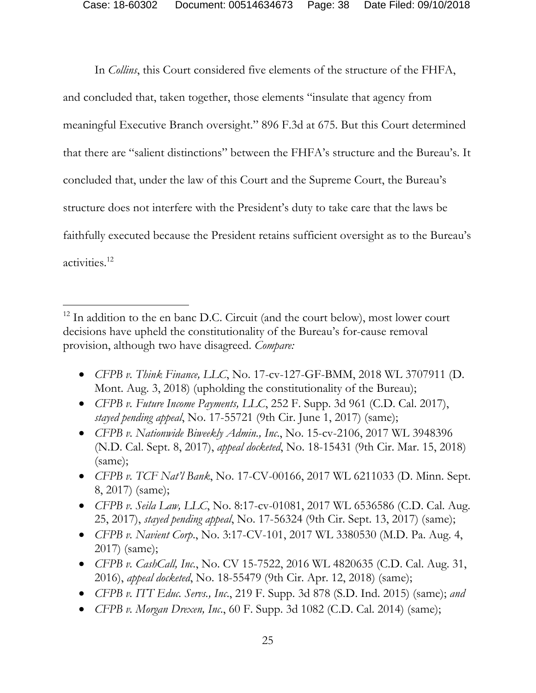In *Collins*, this Court considered five elements of the structure of the FHFA, and concluded that, taken together, those elements "insulate that agency from meaningful Executive Branch oversight." 896 F.3d at 675. But this Court determined that there are "salient distinctions" between the FHFA's structure and the Bureau's. It concluded that, under the law of this Court and the Supreme Court, the Bureau's structure does not interfere with the President's duty to take care that the laws be faithfully executed because the President retains sufficient oversight as to the Bureau's activities.12

- *CFPB v. Think Finance, LLC*, No. 17-cv-127-GF-BMM, 2018 WL 3707911 (D. Mont. Aug. 3, 2018) (upholding the constitutionality of the Bureau);
- *CFPB v. Future Income Payments, LLC*, 252 F. Supp. 3d 961 (C.D. Cal. 2017), *stayed pending appeal*, No. 17-55721 (9th Cir. June 1, 2017) (same);
- *CFPB v. Nationwide Biweekly Admin., Inc*., No. 15-cv-2106, 2017 WL 3948396 (N.D. Cal. Sept. 8, 2017), *appeal docketed*, No. 18-15431 (9th Cir. Mar. 15, 2018) (same);
- *CFPB v. TCF Nat'l Bank*, No. 17-CV-00166, 2017 WL 6211033 (D. Minn. Sept. 8, 2017) (same);
- *CFPB v. Seila Law, LLC*, No. 8:17-cv-01081, 2017 WL 6536586 (C.D. Cal. Aug. 25, 2017), *stayed pending appeal*, No. 17-56324 (9th Cir. Sept. 13, 2017) (same);
- *CFPB v. Navient Corp*., No. 3:17-CV-101, 2017 WL 3380530 (M.D. Pa. Aug. 4, 2017) (same);
- *CFPB v. CashCall, Inc.*, No. CV 15-7522, 2016 WL 4820635 (C.D. Cal. Aug. 31, 2016), *appeal docketed*, No. 18-55479 (9th Cir. Apr. 12, 2018) (same);
- *CFPB v. ITT Educ. Servs., Inc*., 219 F. Supp. 3d 878 (S.D. Ind. 2015) (same); *and*
- *CFPB v. Morgan Drexen, Inc*., 60 F. Supp. 3d 1082 (C.D. Cal. 2014) (same);

<sup>&</sup>lt;sup>12</sup> In addition to the en banc D.C. Circuit (and the court below), most lower court decisions have upheld the constitutionality of the Bureau's for-cause removal provision, although two have disagreed. *Compare:*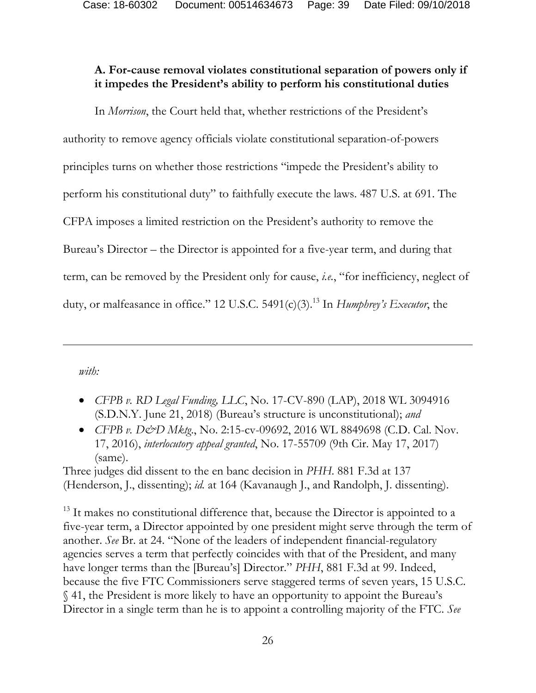## **A. For-cause removal violates constitutional separation of powers only if it impedes the President's ability to perform his constitutional duties**

In *Morrison*, the Court held that, whether restrictions of the President's authority to remove agency officials violate constitutional separation-of-powers principles turns on whether those restrictions "impede the President's ability to perform his constitutional duty" to faithfully execute the laws. 487 U.S. at 691. The CFPA imposes a limited restriction on the President's authority to remove the Bureau's Director – the Director is appointed for a five-year term, and during that term, can be removed by the President only for cause, *i.e.*, "for inefficiency, neglect of duty, or malfeasance in office." 12 U.S.C. 5491(c)(3).<sup>13</sup> In *Humphrey's Executor*, the

*with:* 

 $\overline{a}$ 

- *CFPB v. RD Legal Funding, LLC*, No. 17-CV-890 (LAP), 2018 WL 3094916 (S.D.N.Y. June 21, 2018) (Bureau's structure is unconstitutional); *and*
- *CFPB v. D&D Mktg.*, No. 2:15-cv-09692, 2016 WL 8849698 (C.D. Cal. Nov. 17, 2016), *interlocutory appeal granted*, No. 17-55709 (9th Cir. May 17, 2017) (same).

Three judges did dissent to the en banc decision in *PHH*. 881 F.3d at 137 (Henderson, J., dissenting); *id.* at 164 (Kavanaugh J., and Randolph, J. dissenting).

<sup>13</sup> It makes no constitutional difference that, because the Director is appointed to a five-year term, a Director appointed by one president might serve through the term of another. *See* Br. at 24. "None of the leaders of independent financial-regulatory agencies serves a term that perfectly coincides with that of the President, and many have longer terms than the [Bureau's] Director." *PHH*, 881 F.3d at 99. Indeed, because the five FTC Commissioners serve staggered terms of seven years, 15 U.S.C. § 41, the President is more likely to have an opportunity to appoint the Bureau's Director in a single term than he is to appoint a controlling majority of the FTC. *See*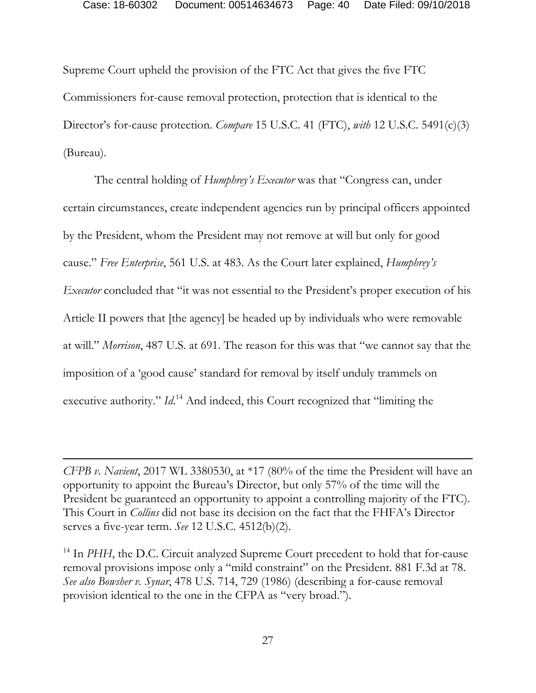Supreme Court upheld the provision of the FTC Act that gives the five FTC Commissioners for-cause removal protection, protection that is identical to the Director's for-cause protection. *Compare* 15 U.S.C. 41 (FTC), *with* 12 U.S.C. 5491(c)(3) (Bureau).

The central holding of *Humphrey's Executor* was that "Congress can, under certain circumstances, create independent agencies run by principal officers appointed by the President, whom the President may not remove at will but only for good cause." *Free Enterprise*, 561 U.S. at 483. As the Court later explained, *Humphrey's Executor* concluded that "it was not essential to the President's proper execution of his Article II powers that [the agency] be headed up by individuals who were removable at will." *Morrison*, 487 U.S. at 691. The reason for this was that "we cannot say that the imposition of a 'good cause' standard for removal by itself unduly trammels on executive authority." *Id*.<sup>14</sup> And indeed, this Court recognized that "limiting the

*CFPB v. Navient*, 2017 WL 3380530, at \*17 (80% of the time the President will have an opportunity to appoint the Bureau's Director, but only 57% of the time will the President be guaranteed an opportunity to appoint a controlling majority of the FTC). This Court in *Collins* did not base its decision on the fact that the FHFA's Director serves a five-year term. *See* 12 U.S.C. 4512(b)(2).

 $\overline{a}$ 

<sup>14</sup> In *PHH*, the D.C. Circuit analyzed Supreme Court precedent to hold that for-cause removal provisions impose only a "mild constraint" on the President. 881 F.3d at 78. *See also Bowsher v. Synar*, 478 U.S. 714, 729 (1986) (describing a for-cause removal provision identical to the one in the CFPA as "very broad.").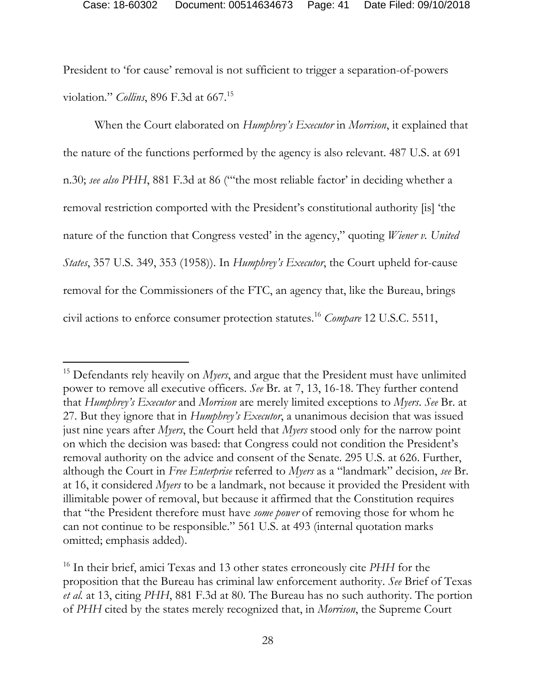President to 'for cause' removal is not sufficient to trigger a separation-of-powers violation." *Collins*, 896 F.3d at 667.15

When the Court elaborated on *Humphrey's Executor* in *Morrison*, it explained that the nature of the functions performed by the agency is also relevant. 487 U.S. at 691 n.30; *see also PHH*, 881 F.3d at 86 ("'the most reliable factor' in deciding whether a removal restriction comported with the President's constitutional authority [is] 'the nature of the function that Congress vested' in the agency," quoting *Wiener v. United States*, 357 U.S. 349, 353 (1958)). In *Humphrey's Executor*, the Court upheld for-cause removal for the Commissioners of the FTC, an agency that, like the Bureau, brings civil actions to enforce consumer protection statutes.16 *Compare* 12 U.S.C. 5511,

<sup>15</sup> Defendants rely heavily on *Myers*, and argue that the President must have unlimited power to remove all executive officers. *See* Br. at 7, 13, 16-18. They further contend that *Humphrey's Executor* and *Morrison* are merely limited exceptions to *Myers*. *See* Br. at 27. But they ignore that in *Humphrey's Executor*, a unanimous decision that was issued just nine years after *Myers*, the Court held that *Myers* stood only for the narrow point on which the decision was based: that Congress could not condition the President's removal authority on the advice and consent of the Senate. 295 U.S. at 626. Further, although the Court in *Free Enterprise* referred to *Myers* as a "landmark" decision, *see* Br. at 16, it considered *Myers* to be a landmark, not because it provided the President with illimitable power of removal, but because it affirmed that the Constitution requires that "the President therefore must have *some power* of removing those for whom he can not continue to be responsible." 561 U.S. at 493 (internal quotation marks omitted; emphasis added).

<sup>16</sup> In their brief, amici Texas and 13 other states erroneously cite *PHH* for the proposition that the Bureau has criminal law enforcement authority. *See* Brief of Texas *et al.* at 13, citing *PHH*, 881 F.3d at 80. The Bureau has no such authority. The portion of *PHH* cited by the states merely recognized that, in *Morrison*, the Supreme Court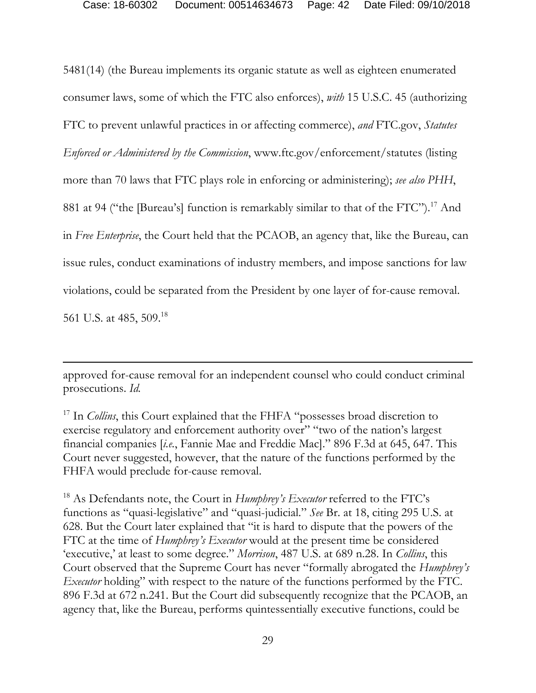5481(14) (the Bureau implements its organic statute as well as eighteen enumerated consumer laws, some of which the FTC also enforces), *with* 15 U.S.C. 45 (authorizing FTC to prevent unlawful practices in or affecting commerce), *and* FTC.gov, *Statutes Enforced or Administered by the Commission*, www.ftc.gov/enforcement/statutes (listing more than 70 laws that FTC plays role in enforcing or administering); *see also PHH*, 881 at 94 ("the [Bureau's] function is remarkably similar to that of the FTC").<sup>17</sup> And in *Free Enterprise*, the Court held that the PCAOB, an agency that, like the Bureau, can issue rules, conduct examinations of industry members, and impose sanctions for law violations, could be separated from the President by one layer of for-cause removal. 561 U.S. at 485, 509.<sup>18</sup>

approved for-cause removal for an independent counsel who could conduct criminal prosecutions. *Id.* 

 $\overline{a}$ 

18 As Defendants note, the Court in *Humphrey's Executor* referred to the FTC's functions as "quasi-legislative" and "quasi-judicial." *See* Br. at 18, citing 295 U.S. at 628. But the Court later explained that "it is hard to dispute that the powers of the FTC at the time of *Humphrey's Executor* would at the present time be considered 'executive,' at least to some degree." *Morrison*, 487 U.S. at 689 n.28. In *Collins*, this Court observed that the Supreme Court has never "formally abrogated the *Humphrey's Executor* holding" with respect to the nature of the functions performed by the FTC. 896 F.3d at 672 n.241. But the Court did subsequently recognize that the PCAOB, an agency that, like the Bureau, performs quintessentially executive functions, could be

<sup>&</sup>lt;sup>17</sup> In *Collins*, this Court explained that the FHFA "possesses broad discretion to exercise regulatory and enforcement authority over" "two of the nation's largest financial companies [*i.e.*, Fannie Mae and Freddie Mac]." 896 F.3d at 645, 647. This Court never suggested, however, that the nature of the functions performed by the FHFA would preclude for-cause removal.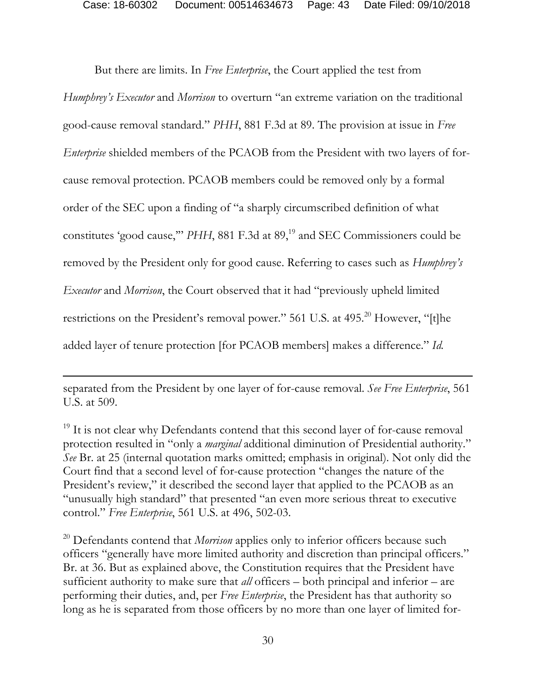But there are limits. In *Free Enterprise*, the Court applied the test from *Humphrey's Executor* and *Morrison* to overturn "an extreme variation on the traditional good-cause removal standard." *PHH*, 881 F.3d at 89. The provision at issue in *Free Enterprise* shielded members of the PCAOB from the President with two layers of forcause removal protection. PCAOB members could be removed only by a formal order of the SEC upon a finding of "a sharply circumscribed definition of what constitutes 'good cause," *PHH*, 881 F.3d at 89,<sup>19</sup> and SEC Commissioners could be removed by the President only for good cause. Referring to cases such as *Humphrey's Executor* and *Morrison*, the Court observed that it had "previously upheld limited restrictions on the President's removal power." 561 U.S. at 495.<sup>20</sup> However, "[t]he added layer of tenure protection [for PCAOB members] makes a difference." *Id.* 

separated from the President by one layer of for-cause removal. *See Free Enterprise*, 561 U.S. at 509.

-

<sup>19</sup> It is not clear why Defendants contend that this second layer of for-cause removal protection resulted in "only a *marginal* additional diminution of Presidential authority." *See* Br. at 25 (internal quotation marks omitted; emphasis in original). Not only did the Court find that a second level of for-cause protection "changes the nature of the President's review," it described the second layer that applied to the PCAOB as an "unusually high standard" that presented "an even more serious threat to executive control." *Free Enterprise*, 561 U.S. at 496, 502-03.

<sup>20</sup> Defendants contend that *Morrison* applies only to inferior officers because such officers "generally have more limited authority and discretion than principal officers." Br. at 36. But as explained above, the Constitution requires that the President have sufficient authority to make sure that *all* officers – both principal and inferior – are performing their duties, and, per *Free Enterprise*, the President has that authority so long as he is separated from those officers by no more than one layer of limited for-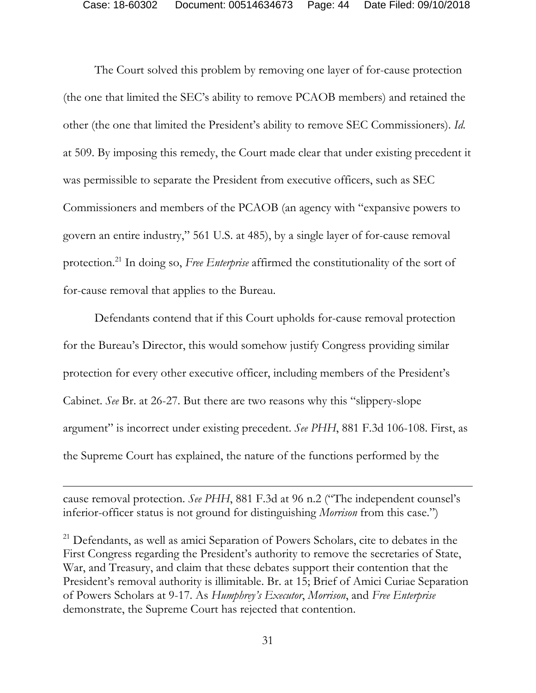The Court solved this problem by removing one layer of for-cause protection (the one that limited the SEC's ability to remove PCAOB members) and retained the other (the one that limited the President's ability to remove SEC Commissioners). *Id.* at 509. By imposing this remedy, the Court made clear that under existing precedent it was permissible to separate the President from executive officers, such as SEC Commissioners and members of the PCAOB (an agency with "expansive powers to govern an entire industry," 561 U.S. at 485), by a single layer of for-cause removal protection.21 In doing so, *Free Enterprise* affirmed the constitutionality of the sort of for-cause removal that applies to the Bureau.

Defendants contend that if this Court upholds for-cause removal protection for the Bureau's Director, this would somehow justify Congress providing similar protection for every other executive officer, including members of the President's Cabinet. *See* Br. at 26-27. But there are two reasons why this "slippery-slope argument" is incorrect under existing precedent. *See PHH*, 881 F.3d 106-108. First, as the Supreme Court has explained, the nature of the functions performed by the

cause removal protection. *See PHH*, 881 F.3d at 96 n.2 ("The independent counsel's inferior-officer status is not ground for distinguishing *Morrison* from this case.")

-

<sup>21</sup> Defendants, as well as amici Separation of Powers Scholars, cite to debates in the First Congress regarding the President's authority to remove the secretaries of State, War, and Treasury, and claim that these debates support their contention that the President's removal authority is illimitable. Br. at 15; Brief of Amici Curiae Separation of Powers Scholars at 9-17. As *Humphrey's Executor*, *Morrison*, and *Free Enterprise*  demonstrate, the Supreme Court has rejected that contention.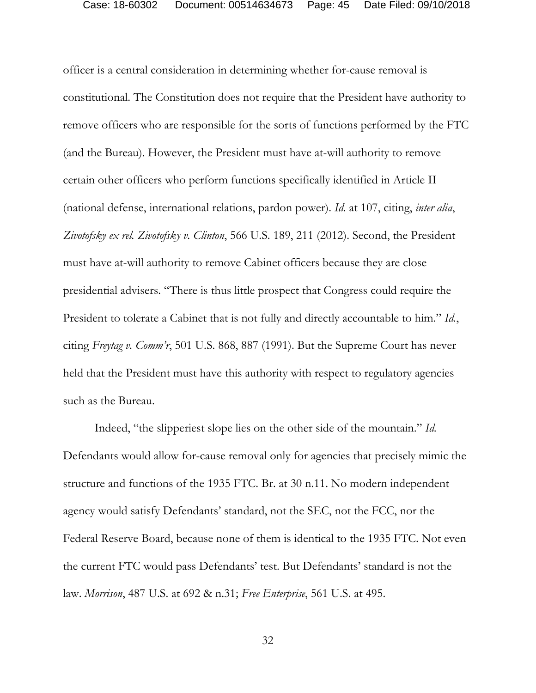officer is a central consideration in determining whether for-cause removal is constitutional. The Constitution does not require that the President have authority to remove officers who are responsible for the sorts of functions performed by the FTC (and the Bureau). However, the President must have at-will authority to remove certain other officers who perform functions specifically identified in Article II (national defense, international relations, pardon power). *Id.* at 107, citing, *inter alia*, *Zivotofsky ex rel. Zivotofsky v. Clinton*, 566 U.S. 189, 211 (2012). Second, the President must have at-will authority to remove Cabinet officers because they are close presidential advisers. "There is thus little prospect that Congress could require the President to tolerate a Cabinet that is not fully and directly accountable to him." *Id.*, citing *Freytag v. Comm'r*, 501 U.S. 868, 887 (1991). But the Supreme Court has never held that the President must have this authority with respect to regulatory agencies such as the Bureau.

Indeed, "the slipperiest slope lies on the other side of the mountain." *Id.*  Defendants would allow for-cause removal only for agencies that precisely mimic the structure and functions of the 1935 FTC. Br. at 30 n.11. No modern independent agency would satisfy Defendants' standard, not the SEC, not the FCC, nor the Federal Reserve Board, because none of them is identical to the 1935 FTC. Not even the current FTC would pass Defendants' test. But Defendants' standard is not the law. *Morrison*, 487 U.S. at 692 & n.31; *Free Enterprise*, 561 U.S. at 495.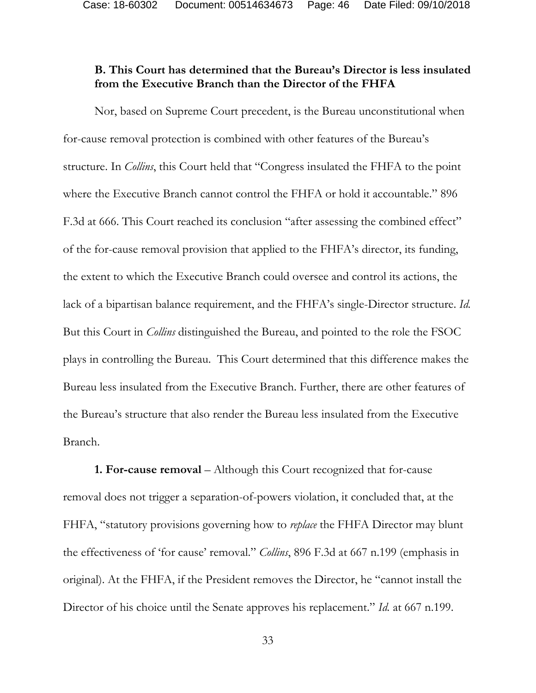Case: 18-60302 Document: 00514634673 Page: 46 Date Filed: 09/10/2018

## **B. This Court has determined that the Bureau's Director is less insulated from the Executive Branch than the Director of the FHFA**

 Nor, based on Supreme Court precedent, is the Bureau unconstitutional when for-cause removal protection is combined with other features of the Bureau's structure. In *Collins*, this Court held that "Congress insulated the FHFA to the point where the Executive Branch cannot control the FHFA or hold it accountable." 896 F.3d at 666. This Court reached its conclusion "after assessing the combined effect" of the for-cause removal provision that applied to the FHFA's director, its funding, the extent to which the Executive Branch could oversee and control its actions, the lack of a bipartisan balance requirement, and the FHFA's single-Director structure. *Id.* But this Court in *Collins* distinguished the Bureau, and pointed to the role the FSOC plays in controlling the Bureau. This Court determined that this difference makes the Bureau less insulated from the Executive Branch. Further, there are other features of the Bureau's structure that also render the Bureau less insulated from the Executive Branch.

**1. For-cause removal** – Although this Court recognized that for-cause removal does not trigger a separation-of-powers violation, it concluded that, at the FHFA, "statutory provisions governing how to *replace* the FHFA Director may blunt the effectiveness of 'for cause' removal." *Collins*, 896 F.3d at 667 n.199 (emphasis in original). At the FHFA, if the President removes the Director, he "cannot install the Director of his choice until the Senate approves his replacement." *Id.* at 667 n.199.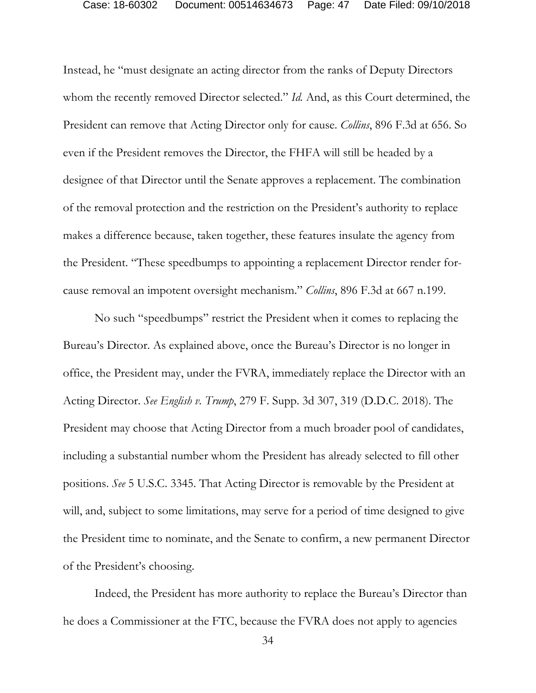Instead, he "must designate an acting director from the ranks of Deputy Directors whom the recently removed Director selected." *Id.* And, as this Court determined, the President can remove that Acting Director only for cause. *Collins*, 896 F.3d at 656. So even if the President removes the Director, the FHFA will still be headed by a designee of that Director until the Senate approves a replacement. The combination of the removal protection and the restriction on the President's authority to replace makes a difference because, taken together, these features insulate the agency from the President. "These speedbumps to appointing a replacement Director render forcause removal an impotent oversight mechanism." *Collins*, 896 F.3d at 667 n.199.

No such "speedbumps" restrict the President when it comes to replacing the Bureau's Director. As explained above, once the Bureau's Director is no longer in office, the President may, under the FVRA, immediately replace the Director with an Acting Director. *See English v. Trump*, 279 F. Supp. 3d 307, 319 (D.D.C. 2018). The President may choose that Acting Director from a much broader pool of candidates, including a substantial number whom the President has already selected to fill other positions. *See* 5 U.S.C. 3345. That Acting Director is removable by the President at will, and, subject to some limitations, may serve for a period of time designed to give the President time to nominate, and the Senate to confirm, a new permanent Director of the President's choosing.

Indeed, the President has more authority to replace the Bureau's Director than he does a Commissioner at the FTC, because the FVRA does not apply to agencies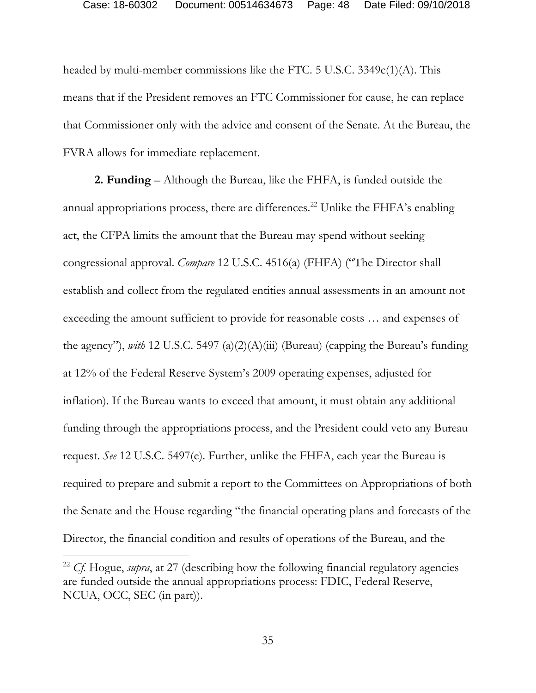headed by multi-member commissions like the FTC. 5 U.S.C. 3349c(1)(A). This means that if the President removes an FTC Commissioner for cause, he can replace that Commissioner only with the advice and consent of the Senate. At the Bureau, the FVRA allows for immediate replacement.

**2. Funding** – Although the Bureau, like the FHFA, is funded outside the annual appropriations process, there are differences.<sup>22</sup> Unlike the FHFA's enabling act, the CFPA limits the amount that the Bureau may spend without seeking congressional approval. *Compare* 12 U.S.C. 4516(a) (FHFA) ("The Director shall establish and collect from the regulated entities annual assessments in an amount not exceeding the amount sufficient to provide for reasonable costs … and expenses of the agency"), *with* 12 U.S.C. 5497 (a)(2)(A)(iii) (Bureau) (capping the Bureau's funding at 12% of the Federal Reserve System's 2009 operating expenses, adjusted for inflation). If the Bureau wants to exceed that amount, it must obtain any additional funding through the appropriations process, and the President could veto any Bureau request. *See* 12 U.S.C. 5497(e). Further, unlike the FHFA, each year the Bureau is required to prepare and submit a report to the Committees on Appropriations of both the Senate and the House regarding "the financial operating plans and forecasts of the Director, the financial condition and results of operations of the Bureau, and the

<sup>22</sup> *Cf.* Hogue, *supra*, at 27 (describing how the following financial regulatory agencies are funded outside the annual appropriations process: FDIC, Federal Reserve, NCUA, OCC, SEC (in part)).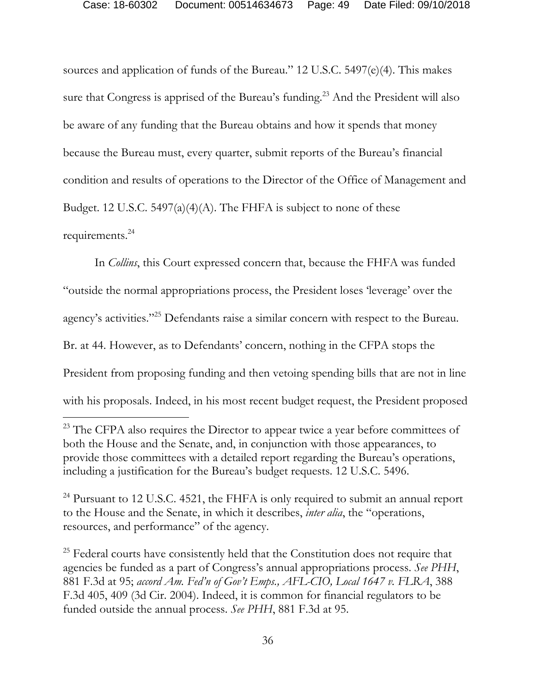sources and application of funds of the Bureau." 12 U.S.C. 5497(e)(4). This makes sure that Congress is apprised of the Bureau's funding.<sup>23</sup> And the President will also be aware of any funding that the Bureau obtains and how it spends that money because the Bureau must, every quarter, submit reports of the Bureau's financial condition and results of operations to the Director of the Office of Management and Budget. 12 U.S.C. 5497(a)(4)(A). The FHFA is subject to none of these requirements.24

 In *Collins*, this Court expressed concern that, because the FHFA was funded "outside the normal appropriations process, the President loses 'leverage' over the agency's activities."25 Defendants raise a similar concern with respect to the Bureau. Br. at 44. However, as to Defendants' concern, nothing in the CFPA stops the President from proposing funding and then vetoing spending bills that are not in line with his proposals. Indeed, in his most recent budget request, the President proposed

 $\overline{a}$ 

<sup>25</sup> Federal courts have consistently held that the Constitution does not require that agencies be funded as a part of Congress's annual appropriations process. *See PHH*, 881 F.3d at 95; *accord Am. Fed'n of Gov't Emps., AFL-CIO, Local 1647 v. FLRA*, 388 F.3d 405, 409 (3d Cir. 2004). Indeed, it is common for financial regulators to be funded outside the annual process. *See PHH*, 881 F.3d at 95.

<sup>&</sup>lt;sup>23</sup> The CFPA also requires the Director to appear twice a year before committees of both the House and the Senate, and, in conjunction with those appearances, to provide those committees with a detailed report regarding the Bureau's operations, including a justification for the Bureau's budget requests. 12 U.S.C. 5496.

<sup>&</sup>lt;sup>24</sup> Pursuant to 12 U.S.C. 4521, the FHFA is only required to submit an annual report to the House and the Senate, in which it describes, *inter alia*, the "operations, resources, and performance" of the agency.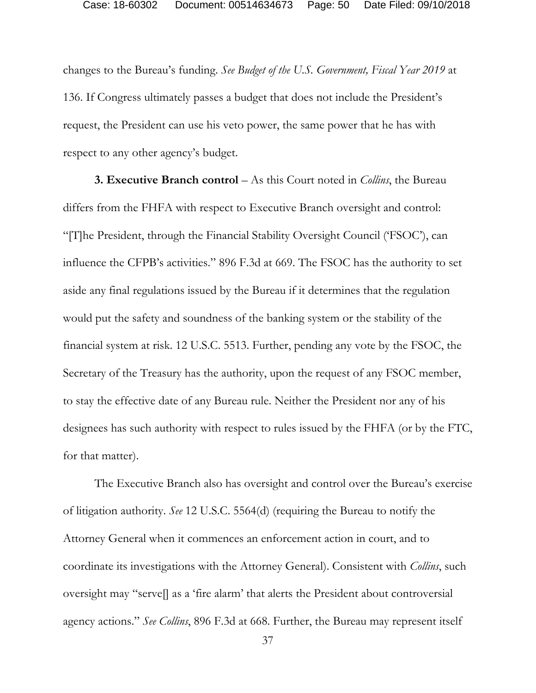changes to the Bureau's funding. *See Budget of the U.S. Government, Fiscal Year 2019* at 136. If Congress ultimately passes a budget that does not include the President's request, the President can use his veto power, the same power that he has with respect to any other agency's budget.

**3. Executive Branch control** – As this Court noted in *Collins*, the Bureau differs from the FHFA with respect to Executive Branch oversight and control: "[T]he President, through the Financial Stability Oversight Council ('FSOC'), can influence the CFPB's activities." 896 F.3d at 669. The FSOC has the authority to set aside any final regulations issued by the Bureau if it determines that the regulation would put the safety and soundness of the banking system or the stability of the financial system at risk. 12 U.S.C. 5513. Further, pending any vote by the FSOC, the Secretary of the Treasury has the authority, upon the request of any FSOC member, to stay the effective date of any Bureau rule. Neither the President nor any of his designees has such authority with respect to rules issued by the FHFA (or by the FTC, for that matter).

The Executive Branch also has oversight and control over the Bureau's exercise of litigation authority. *See* 12 U.S.C. 5564(d) (requiring the Bureau to notify the Attorney General when it commences an enforcement action in court, and to coordinate its investigations with the Attorney General). Consistent with *Collins*, such oversight may "serve[] as a 'fire alarm' that alerts the President about controversial agency actions." *See Collins*, 896 F.3d at 668. Further, the Bureau may represent itself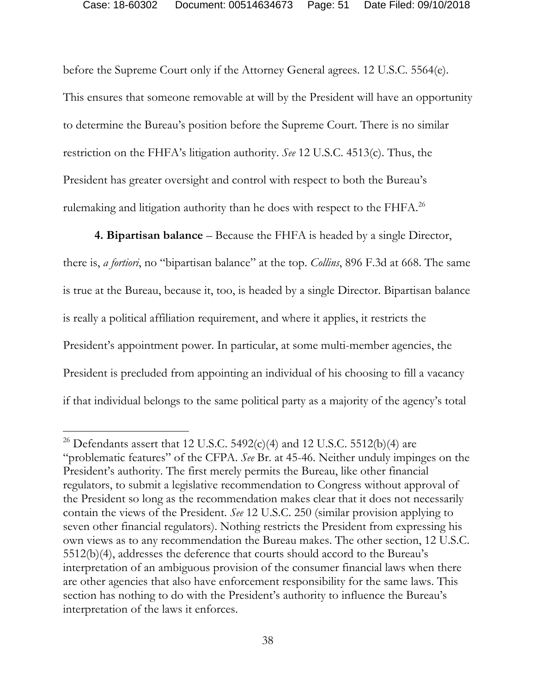before the Supreme Court only if the Attorney General agrees. 12 U.S.C. 5564(e). This ensures that someone removable at will by the President will have an opportunity to determine the Bureau's position before the Supreme Court. There is no similar restriction on the FHFA's litigation authority. *See* 12 U.S.C. 4513(c). Thus, the President has greater oversight and control with respect to both the Bureau's rulemaking and litigation authority than he does with respect to the FHFA.<sup>26</sup>

**4. Bipartisan balance** – Because the FHFA is headed by a single Director, there is, *a fortiori*, no "bipartisan balance" at the top. *Collins*, 896 F.3d at 668. The same is true at the Bureau, because it, too, is headed by a single Director. Bipartisan balance is really a political affiliation requirement, and where it applies, it restricts the President's appointment power. In particular, at some multi-member agencies, the President is precluded from appointing an individual of his choosing to fill a vacancy if that individual belongs to the same political party as a majority of the agency's total

<sup>&</sup>lt;sup>26</sup> Defendants assert that 12 U.S.C. 5492(c)(4) and 12 U.S.C. 5512(b)(4) are "problematic features" of the CFPA. *See* Br. at 45-46. Neither unduly impinges on the President's authority. The first merely permits the Bureau, like other financial regulators, to submit a legislative recommendation to Congress without approval of the President so long as the recommendation makes clear that it does not necessarily contain the views of the President. *See* 12 U.S.C. 250 (similar provision applying to seven other financial regulators). Nothing restricts the President from expressing his own views as to any recommendation the Bureau makes. The other section, 12 U.S.C. 5512(b)(4), addresses the deference that courts should accord to the Bureau's interpretation of an ambiguous provision of the consumer financial laws when there are other agencies that also have enforcement responsibility for the same laws. This section has nothing to do with the President's authority to influence the Bureau's interpretation of the laws it enforces.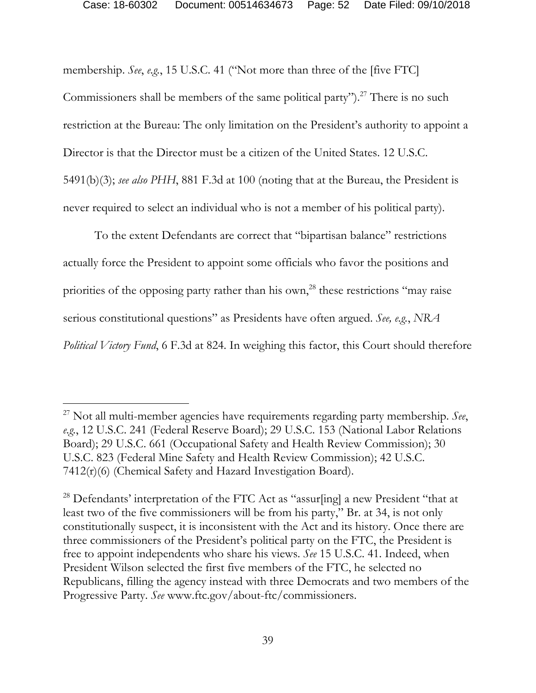membership. *See*, *e.g.*, 15 U.S.C. 41 ("Not more than three of the [five FTC] Commissioners shall be members of the same political party").<sup>27</sup> There is no such restriction at the Bureau: The only limitation on the President's authority to appoint a Director is that the Director must be a citizen of the United States. 12 U.S.C. 5491(b)(3); *see also PHH*, 881 F.3d at 100 (noting that at the Bureau, the President is never required to select an individual who is not a member of his political party).

To the extent Defendants are correct that "bipartisan balance" restrictions actually force the President to appoint some officials who favor the positions and priorities of the opposing party rather than his own,<sup>28</sup> these restrictions "may raise serious constitutional questions" as Presidents have often argued. *See, e.g.*, *NRA Political Victory Fund*, 6 F.3d at 824. In weighing this factor, this Court should therefore

<sup>27</sup> Not all multi-member agencies have requirements regarding party membership. *See*, *e.g.*, 12 U.S.C. 241 (Federal Reserve Board); 29 U.S.C. 153 (National Labor Relations Board); 29 U.S.C. 661 (Occupational Safety and Health Review Commission); 30 U.S.C. 823 (Federal Mine Safety and Health Review Commission); 42 U.S.C. 7412(r)(6) (Chemical Safety and Hazard Investigation Board).

<sup>&</sup>lt;sup>28</sup> Defendants' interpretation of the FTC Act as "assur[ing] a new President "that at least two of the five commissioners will be from his party," Br. at 34, is not only constitutionally suspect, it is inconsistent with the Act and its history. Once there are three commissioners of the President's political party on the FTC, the President is free to appoint independents who share his views. *See* 15 U.S.C. 41. Indeed, when President Wilson selected the first five members of the FTC, he selected no Republicans, filling the agency instead with three Democrats and two members of the Progressive Party. *See* www.ftc.gov/about-ftc/commissioners.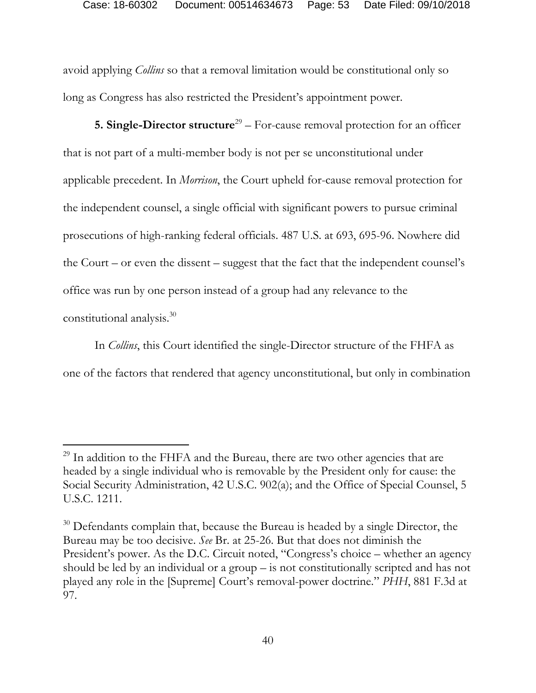avoid applying *Collins* so that a removal limitation would be constitutional only so long as Congress has also restricted the President's appointment power.

**5. Single-Director structure**<sup>29</sup> – For-cause removal protection for an officer that is not part of a multi-member body is not per se unconstitutional under applicable precedent. In *Morrison*, the Court upheld for-cause removal protection for the independent counsel, a single official with significant powers to pursue criminal prosecutions of high-ranking federal officials. 487 U.S. at 693, 695-96. Nowhere did the Court – or even the dissent – suggest that the fact that the independent counsel's office was run by one person instead of a group had any relevance to the constitutional analysis.30

In *Collins*, this Court identified the single-Director structure of the FHFA as one of the factors that rendered that agency unconstitutional, but only in combination

<sup>&</sup>lt;sup>29</sup> In addition to the FHFA and the Bureau, there are two other agencies that are headed by a single individual who is removable by the President only for cause: the Social Security Administration, 42 U.S.C. 902(a); and the Office of Special Counsel, 5 U.S.C. 1211.

 $30$  Defendants complain that, because the Bureau is headed by a single Director, the Bureau may be too decisive. *See* Br. at 25-26. But that does not diminish the President's power. As the D.C. Circuit noted, "Congress's choice – whether an agency should be led by an individual or a group – is not constitutionally scripted and has not played any role in the [Supreme] Court's removal-power doctrine." *PHH*, 881 F.3d at 97.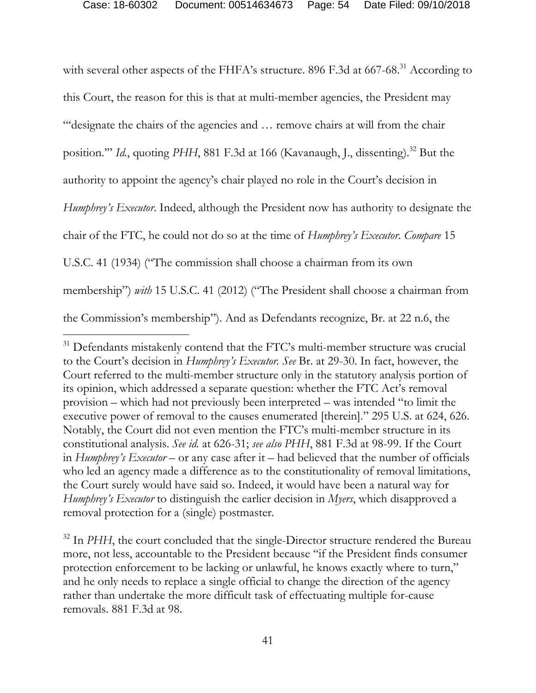with several other aspects of the FHFA's structure. 896 F.3d at 667-68.<sup>31</sup> According to this Court, the reason for this is that at multi-member agencies, the President may "'designate the chairs of the agencies and … remove chairs at will from the chair position."" *Id.*, quoting PHH, 881 F.3d at 166 (Kavanaugh, J., dissenting).<sup>32</sup> But the authority to appoint the agency's chair played no role in the Court's decision in *Humphrey's Executor.* Indeed, although the President now has authority to designate the chair of the FTC, he could not do so at the time of *Humphrey's Executor*. *Compare* 15 U.S.C. 41 (1934) ("The commission shall choose a chairman from its own membership") *with* 15 U.S.C. 41 (2012) ("The President shall choose a chairman from the Commission's membership"). And as Defendants recognize, Br. at 22 n.6, the

 $\overline{a}$ 

<sup>32</sup> In *PHH*, the court concluded that the single-Director structure rendered the Bureau more, not less, accountable to the President because "if the President finds consumer protection enforcement to be lacking or unlawful, he knows exactly where to turn," and he only needs to replace a single official to change the direction of the agency rather than undertake the more difficult task of effectuating multiple for-cause removals. 881 F.3d at 98.

<sup>&</sup>lt;sup>31</sup> Defendants mistakenly contend that the FTC's multi-member structure was crucial to the Court's decision in *Humphrey's Executor. See* Br. at 29-30. In fact, however, the Court referred to the multi-member structure only in the statutory analysis portion of its opinion, which addressed a separate question: whether the FTC Act's removal provision – which had not previously been interpreted – was intended "to limit the executive power of removal to the causes enumerated [therein]." 295 U.S. at 624, 626. Notably, the Court did not even mention the FTC's multi-member structure in its constitutional analysis. *See id.* at 626-31; *see also PHH*, 881 F.3d at 98-99. If the Court in *Humphrey's Executor* – or any case after it – had believed that the number of officials who led an agency made a difference as to the constitutionality of removal limitations, the Court surely would have said so. Indeed, it would have been a natural way for *Humphrey's Executor* to distinguish the earlier decision in *Myers*, which disapproved a removal protection for a (single) postmaster.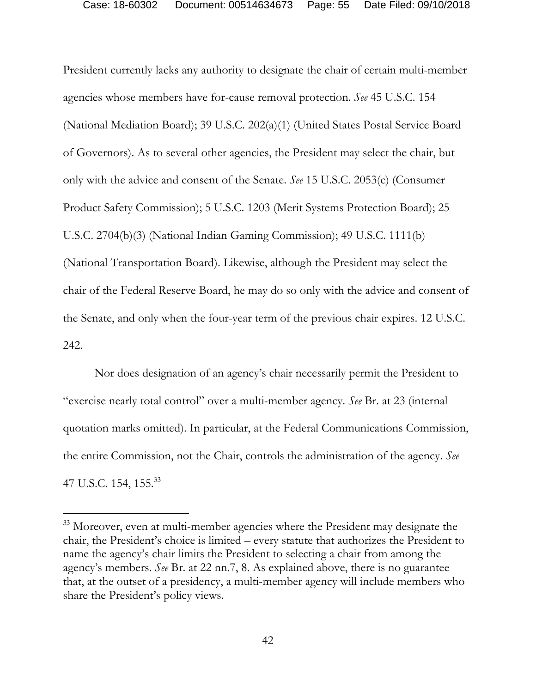President currently lacks any authority to designate the chair of certain multi-member agencies whose members have for-cause removal protection. *See* 45 U.S.C. 154 (National Mediation Board); 39 U.S.C. 202(a)(1) (United States Postal Service Board of Governors). As to several other agencies, the President may select the chair, but only with the advice and consent of the Senate. *See* 15 U.S.C. 2053(c) (Consumer Product Safety Commission); 5 U.S.C. 1203 (Merit Systems Protection Board); 25 U.S.C. 2704(b)(3) (National Indian Gaming Commission); 49 U.S.C. 1111(b) (National Transportation Board). Likewise, although the President may select the chair of the Federal Reserve Board, he may do so only with the advice and consent of the Senate, and only when the four-year term of the previous chair expires. 12 U.S.C. 242.

Nor does designation of an agency's chair necessarily permit the President to "exercise nearly total control" over a multi-member agency. *See* Br. at 23 (internal quotation marks omitted). In particular, at the Federal Communications Commission, the entire Commission, not the Chair, controls the administration of the agency. *See*  47 U.S.C. 154, 155.<sup>33</sup>

<sup>&</sup>lt;sup>33</sup> Moreover, even at multi-member agencies where the President may designate the chair, the President's choice is limited – every statute that authorizes the President to name the agency's chair limits the President to selecting a chair from among the agency's members. *See* Br. at 22 nn.7, 8. As explained above, there is no guarantee that, at the outset of a presidency, a multi-member agency will include members who share the President's policy views.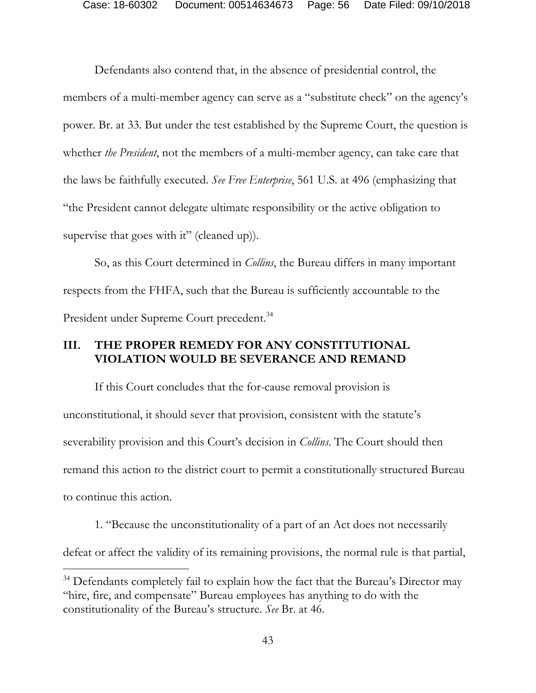Defendants also contend that, in the absence of presidential control, the members of a multi-member agency can serve as a "substitute check" on the agency's power. Br. at 33. But under the test established by the Supreme Court, the question is whether *the President*, not the members of a multi-member agency, can take care that the laws be faithfully executed. *See Free Enterprise*, 561 U.S. at 496 (emphasizing that "the President cannot delegate ultimate responsibility or the active obligation to supervise that goes with it" (cleaned up)).

So, as this Court determined in *Collins*, the Bureau differs in many important respects from the FHFA, such that the Bureau is sufficiently accountable to the President under Supreme Court precedent.<sup>34</sup>

## **III. THE PROPER REMEDY FOR ANY CONSTITUTIONAL VIOLATION WOULD BE SEVERANCE AND REMAND**

If this Court concludes that the for-cause removal provision is unconstitutional, it should sever that provision, consistent with the statute's severability provision and this Court's decision in *Collins*. The Court should then remand this action to the district court to permit a constitutionally structured Bureau to continue this action.

1. "Because the unconstitutionality of a part of an Act does not necessarily defeat or affect the validity of its remaining provisions, the normal rule is that partial,

-

<sup>&</sup>lt;sup>34</sup> Defendants completely fail to explain how the fact that the Bureau's Director may "hire, fire, and compensate" Bureau employees has anything to do with the constitutionality of the Bureau's structure. *See* Br. at 46.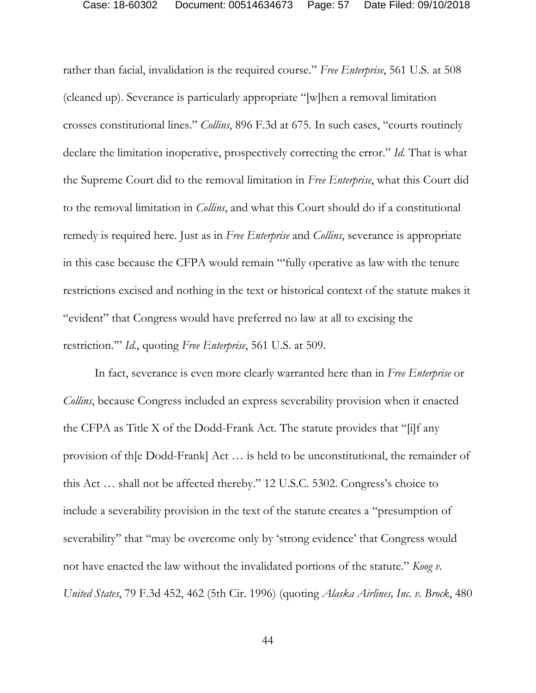rather than facial, invalidation is the required course." *Free Enterprise*, 561 U.S. at 508 (cleaned up). Severance is particularly appropriate "[w]hen a removal limitation crosses constitutional lines." *Collins*, 896 F.3d at 675. In such cases, "courts routinely declare the limitation inoperative, prospectively correcting the error." *Id.* That is what the Supreme Court did to the removal limitation in *Free Enterprise*, what this Court did to the removal limitation in *Collins*, and what this Court should do if a constitutional remedy is required here. Just as in *Free Enterprise* and *Collins*, severance is appropriate in this case because the CFPA would remain "'fully operative as law with the tenure restrictions excised and nothing in the text or historical context of the statute makes it "evident" that Congress would have preferred no law at all to excising the restriction.'" *Id.*, quoting *Free Enterprise*, 561 U.S. at 509.

In fact, severance is even more clearly warranted here than in *Free Enterprise* or *Collins*, because Congress included an express severability provision when it enacted the CFPA as Title X of the Dodd-Frank Act. The statute provides that "[i]f any provision of th[e Dodd-Frank] Act … is held to be unconstitutional, the remainder of this Act … shall not be affected thereby." 12 U.S.C. 5302. Congress's choice to include a severability provision in the text of the statute creates a "presumption of severability" that "may be overcome only by 'strong evidence' that Congress would not have enacted the law without the invalidated portions of the statute." *Koog v. United States*, 79 F.3d 452, 462 (5th Cir. 1996) (quoting *Alaska Airlines, Inc. v. Brock*, 480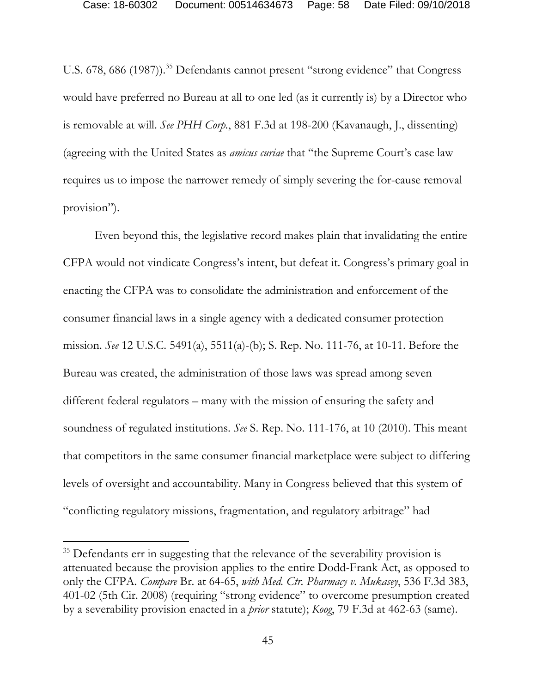U.S. 678, 686 (1987)).<sup>35</sup> Defendants cannot present "strong evidence" that Congress would have preferred no Bureau at all to one led (as it currently is) by a Director who is removable at will. *See PHH Corp.*, 881 F.3d at 198-200 (Kavanaugh, J., dissenting) (agreeing with the United States as *amicus curiae* that "the Supreme Court's case law requires us to impose the narrower remedy of simply severing the for-cause removal provision").

Even beyond this, the legislative record makes plain that invalidating the entire CFPA would not vindicate Congress's intent, but defeat it. Congress's primary goal in enacting the CFPA was to consolidate the administration and enforcement of the consumer financial laws in a single agency with a dedicated consumer protection mission. *See* 12 U.S.C. 5491(a), 5511(a)-(b); S. Rep. No. 111-76, at 10-11. Before the Bureau was created, the administration of those laws was spread among seven different federal regulators – many with the mission of ensuring the safety and soundness of regulated institutions. *See* S. Rep. No. 111-176, at 10 (2010). This meant that competitors in the same consumer financial marketplace were subject to differing levels of oversight and accountability. Many in Congress believed that this system of "conflicting regulatory missions, fragmentation, and regulatory arbitrage" had

<sup>&</sup>lt;sup>35</sup> Defendants err in suggesting that the relevance of the severability provision is attenuated because the provision applies to the entire Dodd-Frank Act, as opposed to only the CFPA. *Compare* Br. at 64-65, *with Med. Ctr. Pharmacy v. Mukasey*, 536 F.3d 383, 401-02 (5th Cir. 2008) (requiring "strong evidence" to overcome presumption created by a severability provision enacted in a *prior* statute); *Koog*, 79 F.3d at 462-63 (same).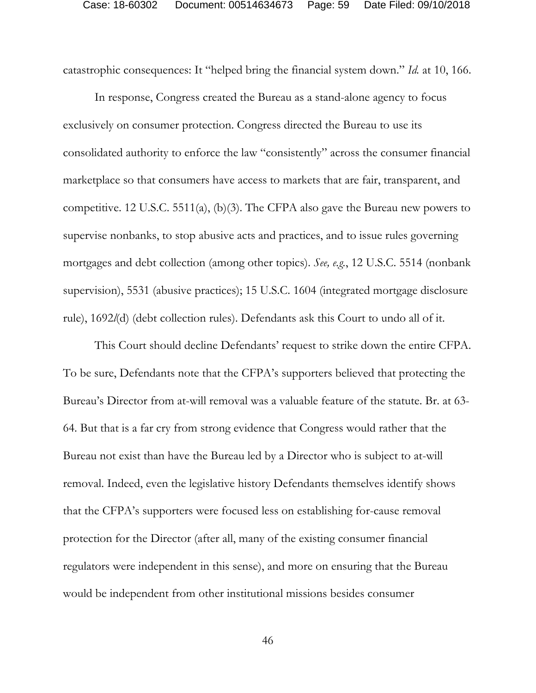catastrophic consequences: It "helped bring the financial system down." *Id.* at 10, 166.

In response, Congress created the Bureau as a stand-alone agency to focus exclusively on consumer protection. Congress directed the Bureau to use its consolidated authority to enforce the law "consistently" across the consumer financial marketplace so that consumers have access to markets that are fair, transparent, and competitive. 12 U.S.C. 5511(a), (b)(3). The CFPA also gave the Bureau new powers to supervise nonbanks, to stop abusive acts and practices, and to issue rules governing mortgages and debt collection (among other topics). *See, e.g.*, 12 U.S.C. 5514 (nonbank supervision), 5531 (abusive practices); 15 U.S.C. 1604 (integrated mortgage disclosure rule), 1692*l*(d) (debt collection rules). Defendants ask this Court to undo all of it.

This Court should decline Defendants' request to strike down the entire CFPA. To be sure, Defendants note that the CFPA's supporters believed that protecting the Bureau's Director from at-will removal was a valuable feature of the statute. Br. at 63- 64. But that is a far cry from strong evidence that Congress would rather that the Bureau not exist than have the Bureau led by a Director who is subject to at-will removal. Indeed, even the legislative history Defendants themselves identify shows that the CFPA's supporters were focused less on establishing for-cause removal protection for the Director (after all, many of the existing consumer financial regulators were independent in this sense), and more on ensuring that the Bureau would be independent from other institutional missions besides consumer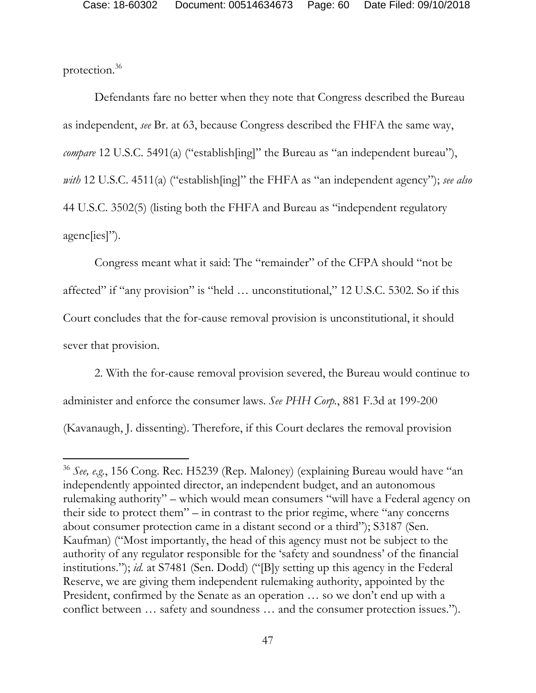protection.36

 $\overline{a}$ 

Defendants fare no better when they note that Congress described the Bureau as independent, *see* Br. at 63, because Congress described the FHFA the same way, *compare* 12 U.S.C. 5491(a) ("establish[ing]" the Bureau as "an independent bureau"), *with* 12 U.S.C. 4511(a) ("establish[ing]" the FHFA as "an independent agency"); *see also*  44 U.S.C. 3502(5) (listing both the FHFA and Bureau as "independent regulatory agenc[ies]").

Congress meant what it said: The "remainder" of the CFPA should "not be affected" if "any provision" is "held … unconstitutional," 12 U.S.C. 5302. So if this Court concludes that the for-cause removal provision is unconstitutional, it should sever that provision.

2. With the for-cause removal provision severed, the Bureau would continue to administer and enforce the consumer laws. *See PHH Corp.*, 881 F.3d at 199-200 (Kavanaugh, J. dissenting). Therefore, if this Court declares the removal provision

<sup>36</sup> *See, e.g.*, 156 Cong. Rec. H5239 (Rep. Maloney) (explaining Bureau would have "an independently appointed director, an independent budget, and an autonomous rulemaking authority" – which would mean consumers "will have a Federal agency on their side to protect them" – in contrast to the prior regime, where "any concerns about consumer protection came in a distant second or a third"); S3187 (Sen. Kaufman) ("Most importantly, the head of this agency must not be subject to the authority of any regulator responsible for the 'safety and soundness' of the financial institutions."); *id.* at S7481 (Sen. Dodd) ("[B]y setting up this agency in the Federal Reserve, we are giving them independent rulemaking authority, appointed by the President, confirmed by the Senate as an operation … so we don't end up with a conflict between … safety and soundness … and the consumer protection issues.").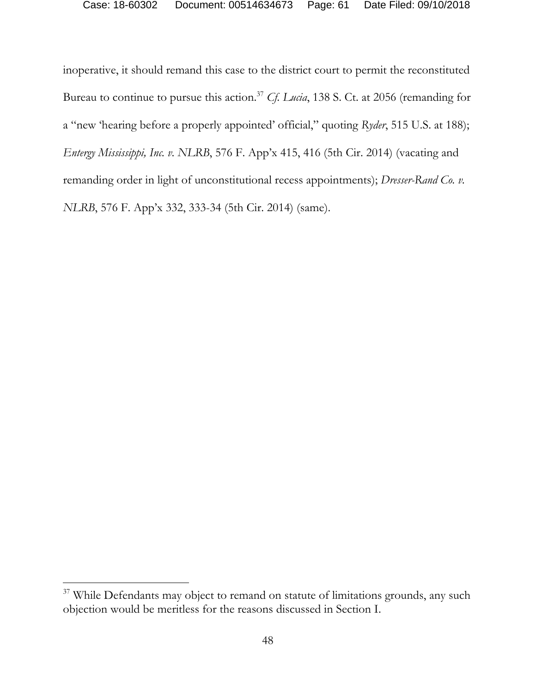inoperative, it should remand this case to the district court to permit the reconstituted Bureau to continue to pursue this action.37 *Cf. Lucia*, 138 S. Ct. at 2056 (remanding for a "new 'hearing before a properly appointed' official," quoting *Ryder*, 515 U.S. at 188); *Entergy Mississippi, Inc. v. NLRB*, 576 F. App'x 415, 416 (5th Cir. 2014) (vacating and remanding order in light of unconstitutional recess appointments); *Dresser-Rand Co. v. NLRB*, 576 F. App'x 332, 333-34 (5th Cir. 2014) (same).

<sup>&</sup>lt;sup>37</sup> While Defendants may object to remand on statute of limitations grounds, any such objection would be meritless for the reasons discussed in Section I.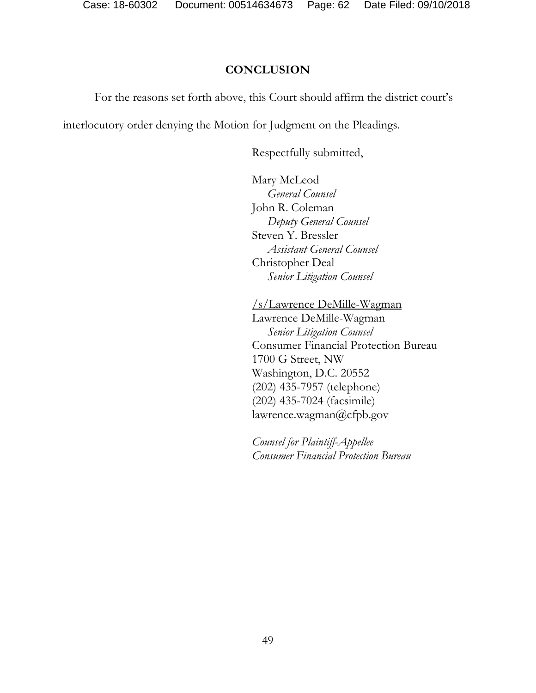## **CONCLUSION**

For the reasons set forth above, this Court should affirm the district court's

interlocutory order denying the Motion for Judgment on the Pleadings.

Respectfully submitted,

 Mary McLeod  *General Counsel*  John R. Coleman  *Deputy General Counsel*  Steven Y. Bressler *Assistant General Counsel*  Christopher Deal  *Senior Litigation Counsel* 

/s/Lawrence DeMille-Wagman Lawrence DeMille-Wagman *Senior Litigation Counsel*  Consumer Financial Protection Bureau 1700 G Street, NW Washington, D.C. 20552 (202) 435-7957 (telephone) (202) 435-7024 (facsimile) lawrence.wagman@cfpb.gov

*Counsel for Plaintiff-Appellee Consumer Financial Protection Bureau*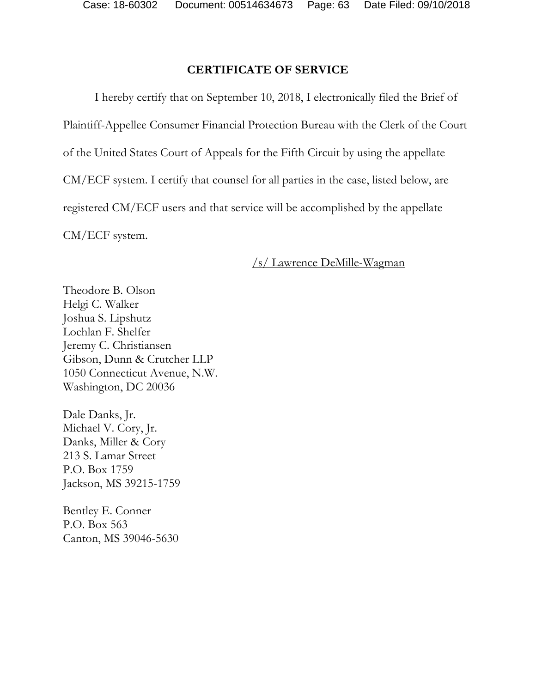# **CERTIFICATE OF SERVICE**

I hereby certify that on September 10, 2018, I electronically filed the Brief of Plaintiff-Appellee Consumer Financial Protection Bureau with the Clerk of the Court of the United States Court of Appeals for the Fifth Circuit by using the appellate CM/ECF system. I certify that counsel for all parties in the case, listed below, are registered CM/ECF users and that service will be accomplished by the appellate CM/ECF system.

### /s/ Lawrence DeMille-Wagman

Theodore B. Olson Helgi C. Walker Joshua S. Lipshutz Lochlan F. Shelfer Jeremy C. Christiansen Gibson, Dunn & Crutcher LLP 1050 Connecticut Avenue, N.W. Washington, DC 20036

Dale Danks, Jr. Michael V. Cory, Jr. Danks, Miller & Cory 213 S. Lamar Street P.O. Box 1759 Jackson, MS 39215-1759

Bentley E. Conner P.O. Box 563 Canton, MS 39046-5630